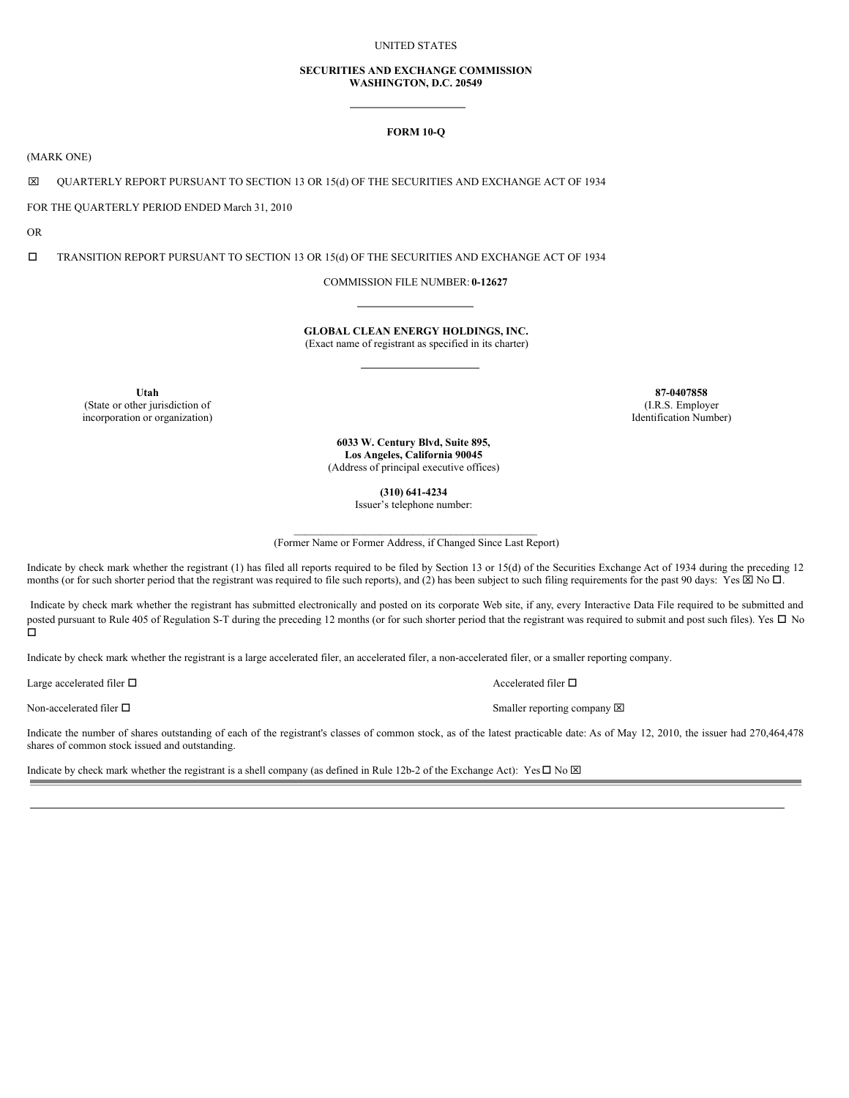## UNITED STATES

## **SECURITIES AND EXCHANGE COMMISSION WASHINGTON, D.C. 20549**

#### **FORM 10-Q**

(MARK ONE)

x QUARTERLY REPORT PURSUANT TO SECTION 13 OR 15(d) OF THE SECURITIES AND EXCHANGE ACT OF 1934

FOR THE QUARTERLY PERIOD ENDED March 31, 2010

OR

o TRANSITION REPORT PURSUANT TO SECTION 13 OR 15(d) OF THE SECURITIES AND EXCHANGE ACT OF 1934

COMMISSION FILE NUMBER: **0-12627**

**GLOBAL CLEAN ENERGY HOLDINGS, INC.** (Exact name of registrant as specified in its charter)

**Utah 87-0407858** (State or other jurisdiction of incorporation or organization)

(I.R.S. Employer Identification Number)

**6033 W. Century Blvd, Suite 895, Los Angeles, California 90045** (Address of principal executive offices)

**(310) 641-4234**

Issuer's telephone number:

\_\_\_\_\_\_\_\_\_\_\_\_\_\_\_\_\_\_\_\_\_\_\_\_\_\_\_\_\_\_\_\_\_\_\_\_\_\_\_\_\_\_\_\_\_ (Former Name or Former Address, if Changed Since Last Report)

Indicate by check mark whether the registrant (1) has filed all reports required to be filed by Section 13 or 15(d) of the Securities Exchange Act of 1934 during the preceding 12 months (or for such shorter period that the registrant was required to file such reports), and (2) has been subject to such filing requirements for the past 90 days: Yes  $\overline{\boxtimes}$  No  $\Box$ .

Indicate by check mark whether the registrant has submitted electronically and posted on its corporate Web site, if any, every Interactive Data File required to be submitted and posted pursuant to Rule 405 of Regulation S-T during the preceding 12 months (or for such shorter period that the registrant was required to submit and post such files). Yes  $\Box$  No  $\Box$ 

Indicate by check mark whether the registrant is a large accelerated filer, an accelerated filer, a non-accelerated filer, or a smaller reporting company.

Large accelerated filer  $\Box$  Accelerated filer  $\Box$ 

Non-accelerated filer □ smaller reporting company ⊠

Indicate the number of shares outstanding of each of the registrant's classes of common stock, as of the latest practicable date: As of May 12, 2010, the issuer had 270,464,478 shares of common stock issued and outstanding.

Indicate by check mark whether the registrant is a shell company (as defined in Rule 12b-2 of the Exchange Act): Yes  $\Box$  No  $\boxtimes$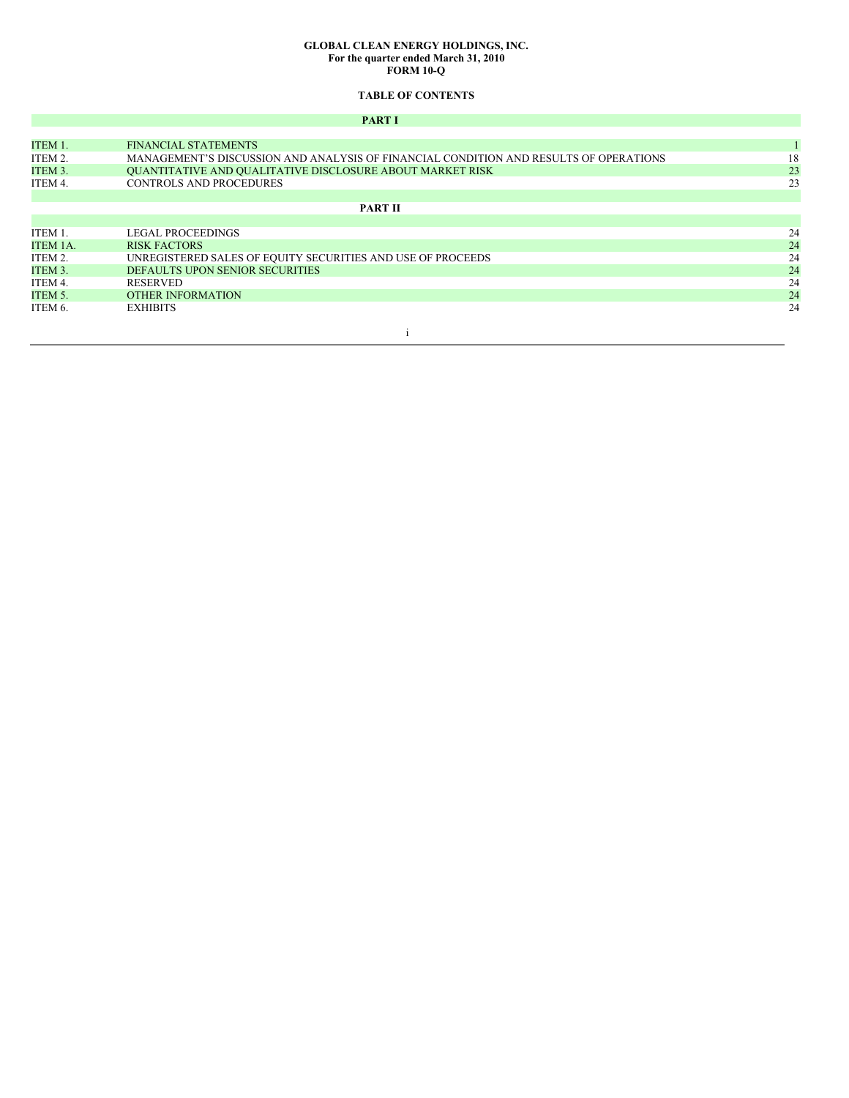#### **GLOBAL CLEAN ENERGY HOLDINGS, INC. For the quarter ended March 31, 2010 FORM 10-Q**

# **TABLE OF CONTENTS**

# **PART I**

| ITEM 1.  | <b>FINANCIAL STATEMENTS</b>                                                           |    |
|----------|---------------------------------------------------------------------------------------|----|
| ITEM 2.  | MANAGEMENT'S DISCUSSION AND ANALYSIS OF FINANCIAL CONDITION AND RESULTS OF OPERATIONS | 18 |
| ITEM 3.  | <b>QUANTITATIVE AND QUALITATIVE DISCLOSURE ABOUT MARKET RISK</b>                      | 23 |
| ITEM 4.  | <b>CONTROLS AND PROCEDURES</b>                                                        | 23 |
|          |                                                                                       |    |
|          | <b>PART II</b>                                                                        |    |
|          |                                                                                       |    |
| ITEM 1.  | <b>LEGAL PROCEEDINGS</b>                                                              | 24 |
| ITEM 1A. | <b>RISK FACTORS</b>                                                                   | 24 |
| ITEM 2.  | UNREGISTERED SALES OF EQUITY SECURITIES AND USE OF PROCEEDS                           | 24 |
| ITEM 3.  | DEFAULTS UPON SENIOR SECURITIES                                                       | 24 |
| ITEM 4.  | <b>RESERVED</b>                                                                       | 24 |
| ITEM 5.  | <b>OTHER INFORMATION</b>                                                              | 24 |
| ITEM 6.  | <b>EXHIBITS</b>                                                                       | 24 |
|          |                                                                                       |    |
|          |                                                                                       |    |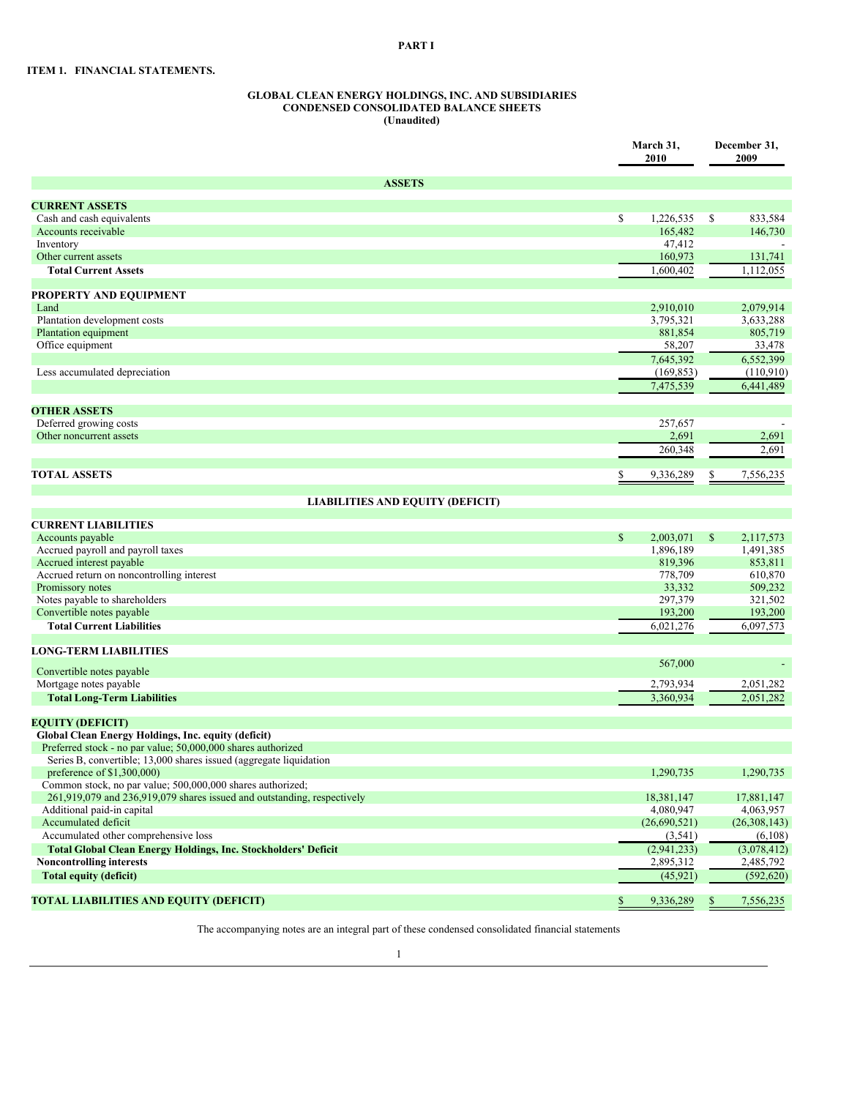# **PART I**

#### **GLOBAL CLEAN ENERGY HOLDINGS, INC. AND SUBSIDIARIES CONDENSED CONSOLIDATED BALANCE SHEETS (Unaudited)**

|                                                                         | March 31,<br>2010 |                    |              | December 31,<br>2009 |  |
|-------------------------------------------------------------------------|-------------------|--------------------|--------------|----------------------|--|
| <b>ASSETS</b>                                                           |                   |                    |              |                      |  |
|                                                                         |                   |                    |              |                      |  |
| <b>CURRENT ASSETS</b>                                                   |                   |                    |              |                      |  |
| Cash and cash equivalents                                               | \$                | 1,226,535          | S.           | 833,584              |  |
| Accounts receivable                                                     |                   | 165,482            |              | 146,730              |  |
| Inventory                                                               |                   | 47,412             |              |                      |  |
| Other current assets                                                    |                   | 160,973            |              | 131,741              |  |
| <b>Total Current Assets</b>                                             |                   | 1,600,402          |              | 1,112,055            |  |
| <b>PROPERTY AND EQUIPMENT</b>                                           |                   |                    |              |                      |  |
| Land                                                                    |                   | 2,910,010          |              | 2,079,914            |  |
| Plantation development costs                                            |                   | 3,795,321          |              | 3,633,288            |  |
| Plantation equipment                                                    |                   | 881,854            |              | 805,719              |  |
| Office equipment                                                        |                   | 58,207             |              | 33,478               |  |
|                                                                         |                   | 7,645,392          |              | 6,552,399            |  |
| Less accumulated depreciation                                           |                   | (169, 853)         |              | (110,910)            |  |
|                                                                         |                   | 7,475,539          |              | 6,441,489            |  |
|                                                                         |                   |                    |              |                      |  |
| <b>OTHER ASSETS</b>                                                     |                   |                    |              |                      |  |
| Deferred growing costs                                                  |                   | 257,657            |              |                      |  |
| Other noncurrent assets                                                 |                   | 2,691              |              | 2,691                |  |
|                                                                         |                   | 260,348            |              | 2,691                |  |
| <b>TOTAL ASSETS</b>                                                     | \$                | 9,336,289          | \$           | 7,556,235            |  |
|                                                                         |                   |                    |              |                      |  |
| <b>LIABILITIES AND EQUITY (DEFICIT)</b>                                 |                   |                    |              |                      |  |
|                                                                         |                   |                    |              |                      |  |
| <b>CURRENT LIABILITIES</b>                                              |                   |                    |              |                      |  |
| Accounts payable                                                        | $\mathbb{S}$      | 2,003,071          | $\mathbb{S}$ | 2,117,573            |  |
| Accrued payroll and payroll taxes<br>Accrued interest payable           |                   | 1,896,189          |              | 1,491,385<br>853,811 |  |
| Accrued return on noncontrolling interest                               |                   | 819,396<br>778,709 |              | 610,870              |  |
| Promissory notes                                                        |                   | 33,332             |              | 509,232              |  |
| Notes payable to shareholders                                           |                   | 297,379            |              | 321,502              |  |
| Convertible notes payable                                               |                   | 193,200            |              | 193,200              |  |
| <b>Total Current Liabilities</b>                                        |                   | 6,021,276          |              | 6,097,573            |  |
|                                                                         |                   |                    |              |                      |  |
| <b>LONG-TERM LIABILITIES</b>                                            |                   |                    |              |                      |  |
| Convertible notes payable                                               |                   | 567,000            |              |                      |  |
| Mortgage notes payable                                                  |                   | 2,793,934          |              | 2,051,282            |  |
| <b>Total Long-Term Liabilities</b>                                      |                   | 3,360,934          |              | 2,051,282            |  |
|                                                                         |                   |                    |              |                      |  |
| <b>EQUITY (DEFICIT)</b>                                                 |                   |                    |              |                      |  |
| Global Clean Energy Holdings, Inc. equity (deficit)                     |                   |                    |              |                      |  |
| Preferred stock - no par value; 50,000,000 shares authorized            |                   |                    |              |                      |  |
| Series B, convertible; 13,000 shares issued (aggregate liquidation      |                   |                    |              |                      |  |
| preference of \$1,300,000)                                              |                   | 1,290,735          |              | 1,290,735            |  |
| Common stock, no par value; 500,000,000 shares authorized;              |                   |                    |              |                      |  |
| 261,919,079 and 236,919,079 shares issued and outstanding, respectively |                   | 18,381,147         |              | 17,881,147           |  |
| Additional paid-in capital                                              |                   | 4,080,947          |              | 4,063,957            |  |
| Accumulated deficit                                                     |                   | (26,690,521)       |              | (26,308,143)         |  |
| Accumulated other comprehensive loss                                    |                   | (3, 541)           |              | (6,108)              |  |
| <b>Total Global Clean Energy Holdings, Inc. Stockholders' Deficit</b>   |                   | (2,941,233)        |              | (3,078,412)          |  |
| <b>Noncontrolling interests</b>                                         |                   | 2,895,312          |              | 2,485,792            |  |
| <b>Total equity (deficit)</b>                                           |                   | (45, 921)          |              | (592, 620)           |  |
| <b>TOTAL LIABILITIES AND EQUITY (DEFICIT)</b>                           | \$                | 9,336,289          | $\mathbb{S}$ | 7,556,235            |  |

The accompanying notes are an integral part of these condensed consolidated financial statements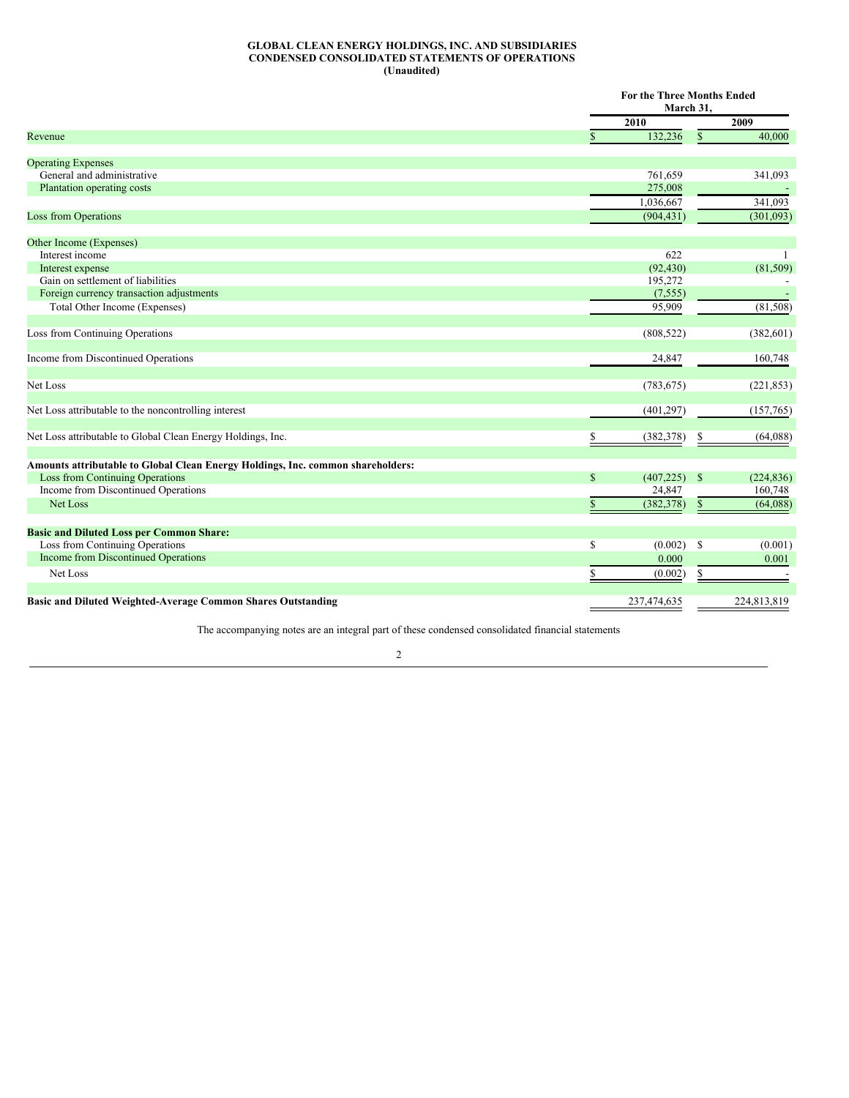#### **GLOBAL CLEAN ENERGY HOLDINGS, INC. AND SUBSIDIARIES CONDENSED CONSOLIDATED STATEMENTS OF OPERATIONS (Unaudited)**

|                                                                                 |              | For the Three Months Ended<br>March 31, |     |             |
|---------------------------------------------------------------------------------|--------------|-----------------------------------------|-----|-------------|
|                                                                                 |              | 2010                                    |     | 2009        |
| Revenue                                                                         | \$           | 132,236                                 | \$  | 40,000      |
| <b>Operating Expenses</b>                                                       |              |                                         |     |             |
| General and administrative                                                      |              | 761,659                                 |     | 341,093     |
| Plantation operating costs                                                      |              | 275,008                                 |     |             |
|                                                                                 |              | 1,036,667                               |     | 341,093     |
| <b>Loss from Operations</b>                                                     |              | (904, 431)                              |     | (301,093)   |
| Other Income (Expenses)                                                         |              |                                         |     |             |
| Interest income                                                                 |              | 622                                     |     |             |
| Interest expense                                                                |              | (92, 430)                               |     | (81, 509)   |
| Gain on settlement of liabilities                                               |              | 195,272                                 |     |             |
| Foreign currency transaction adjustments                                        |              | (7, 555)                                |     |             |
| Total Other Income (Expenses)                                                   |              | 95,909                                  |     | (81, 508)   |
| Loss from Continuing Operations                                                 |              | (808, 522)                              |     | (382,601)   |
| Income from Discontinued Operations                                             |              | 24,847                                  |     | 160,748     |
| Net Loss                                                                        |              | (783, 675)                              |     | (221, 853)  |
| Net Loss attributable to the noncontrolling interest                            |              | (401, 297)                              |     | (157, 765)  |
| Net Loss attributable to Global Clean Energy Holdings, Inc.                     | S            | (382, 378)                              | S   | (64,088)    |
| Amounts attributable to Global Clean Energy Holdings, Inc. common shareholders: |              |                                         |     |             |
| <b>Loss from Continuing Operations</b>                                          | $\mathbb{S}$ | (407, 225)                              | -\$ | (224, 836)  |
| Income from Discontinued Operations                                             |              | 24,847                                  |     | 160,748     |
| Net Loss                                                                        |              | (382, 378)                              | \$  | (64,088)    |
| <b>Basic and Diluted Loss per Common Share:</b>                                 |              |                                         |     |             |
| Loss from Continuing Operations                                                 | \$           | (0.002)                                 | -\$ | (0.001)     |
| Income from Discontinued Operations                                             |              | 0.000                                   |     | 0.001       |
| Net Loss                                                                        |              | (0.002)                                 | S   |             |
| Basic and Diluted Weighted-Average Common Shares Outstanding                    |              | 237,474,635                             |     | 224,813,819 |
|                                                                                 |              |                                         |     |             |

The accompanying notes are an integral part of these condensed consolidated financial statements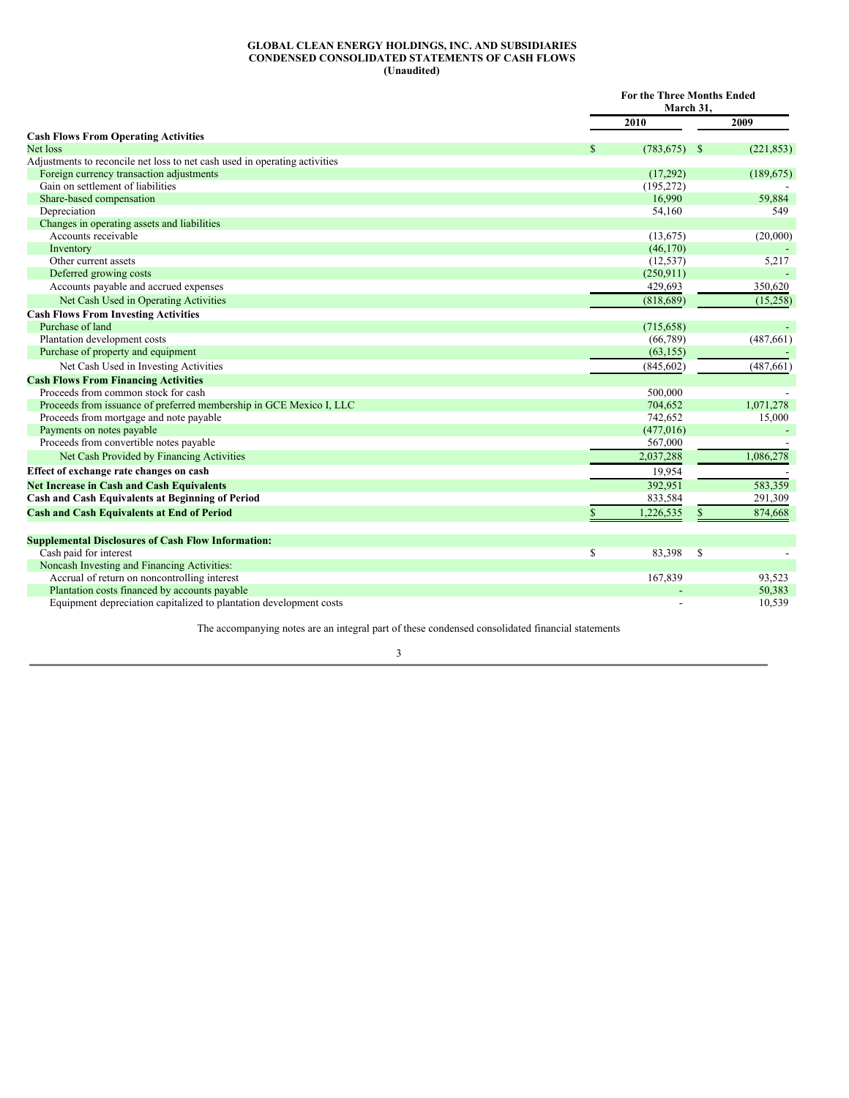#### **GLOBAL CLEAN ENERGY HOLDINGS, INC. AND SUBSIDIARIES CONDENSED CONSOLIDATED STATEMENTS OF CASH FLOWS (Unaudited)**

|                                                                            |    | <b>For the Three Months Ended</b><br>March 31. |               |            |
|----------------------------------------------------------------------------|----|------------------------------------------------|---------------|------------|
|                                                                            |    | 2010                                           |               | 2009       |
| <b>Cash Flows From Operating Activities</b>                                |    |                                                |               |            |
| Net loss                                                                   | \$ | (783, 675)                                     | <sup>\$</sup> | (221, 853) |
| Adjustments to reconcile net loss to net cash used in operating activities |    |                                                |               |            |
| Foreign currency transaction adjustments                                   |    | (17,292)                                       |               | (189, 675) |
| Gain on settlement of liabilities                                          |    | (195, 272)                                     |               |            |
| Share-based compensation                                                   |    | 16.990                                         |               | 59,884     |
| Depreciation                                                               |    | 54,160                                         |               | 549        |
| Changes in operating assets and liabilities                                |    |                                                |               |            |
| Accounts receivable                                                        |    | (13,675)                                       |               | (20,000)   |
| Inventory                                                                  |    | (46, 170)                                      |               |            |
| Other current assets                                                       |    | (12, 537)                                      |               | 5,217      |
| Deferred growing costs                                                     |    | (250.911)                                      |               |            |
| Accounts payable and accrued expenses                                      |    | 429,693                                        |               | 350,620    |
| Net Cash Used in Operating Activities                                      |    | (818, 689)                                     |               | (15,258)   |
| <b>Cash Flows From Investing Activities</b>                                |    |                                                |               |            |
| Purchase of land                                                           |    | (715, 658)                                     |               |            |
| Plantation development costs                                               |    | (66, 789)                                      |               | (487, 661) |
| Purchase of property and equipment                                         |    | (63, 155)                                      |               |            |
| Net Cash Used in Investing Activities                                      |    | (845, 602)                                     |               | (487, 661) |
| <b>Cash Flows From Financing Activities</b>                                |    |                                                |               |            |
| Proceeds from common stock for cash                                        |    | 500,000                                        |               |            |
| Proceeds from issuance of preferred membership in GCE Mexico I, LLC        |    | 704,652                                        |               | 1,071,278  |
| Proceeds from mortgage and note payable                                    |    | 742,652                                        |               | 15,000     |
| Payments on notes payable                                                  |    | (477, 016)                                     |               |            |
| Proceeds from convertible notes payable                                    |    | 567,000                                        |               |            |
| Net Cash Provided by Financing Activities                                  |    | 2,037,288                                      |               | 1,086,278  |
| Effect of exchange rate changes on cash                                    |    | 19.954                                         |               |            |
| <b>Net Increase in Cash and Cash Equivalents</b>                           |    | 392,951                                        |               | 583,359    |
| <b>Cash and Cash Equivalents at Beginning of Period</b>                    |    | 833,584                                        |               | 291,309    |
| <b>Cash and Cash Equivalents at End of Period</b>                          |    | 1,226,535                                      | \$            | 874,668    |
|                                                                            |    |                                                |               |            |
| <b>Supplemental Disclosures of Cash Flow Information:</b>                  |    |                                                |               |            |
| Cash paid for interest                                                     | S  | 83,398                                         | $\mathbb{S}$  |            |
| Noncash Investing and Financing Activities:                                |    |                                                |               |            |
| Accrual of return on noncontrolling interest                               |    | 167,839                                        |               | 93,523     |
| Plantation costs financed by accounts payable                              |    |                                                |               | 50,383     |
| Equipment depreciation capitalized to plantation development costs         |    |                                                |               | 10,539     |

The accompanying notes are an integral part of these condensed consolidated financial statements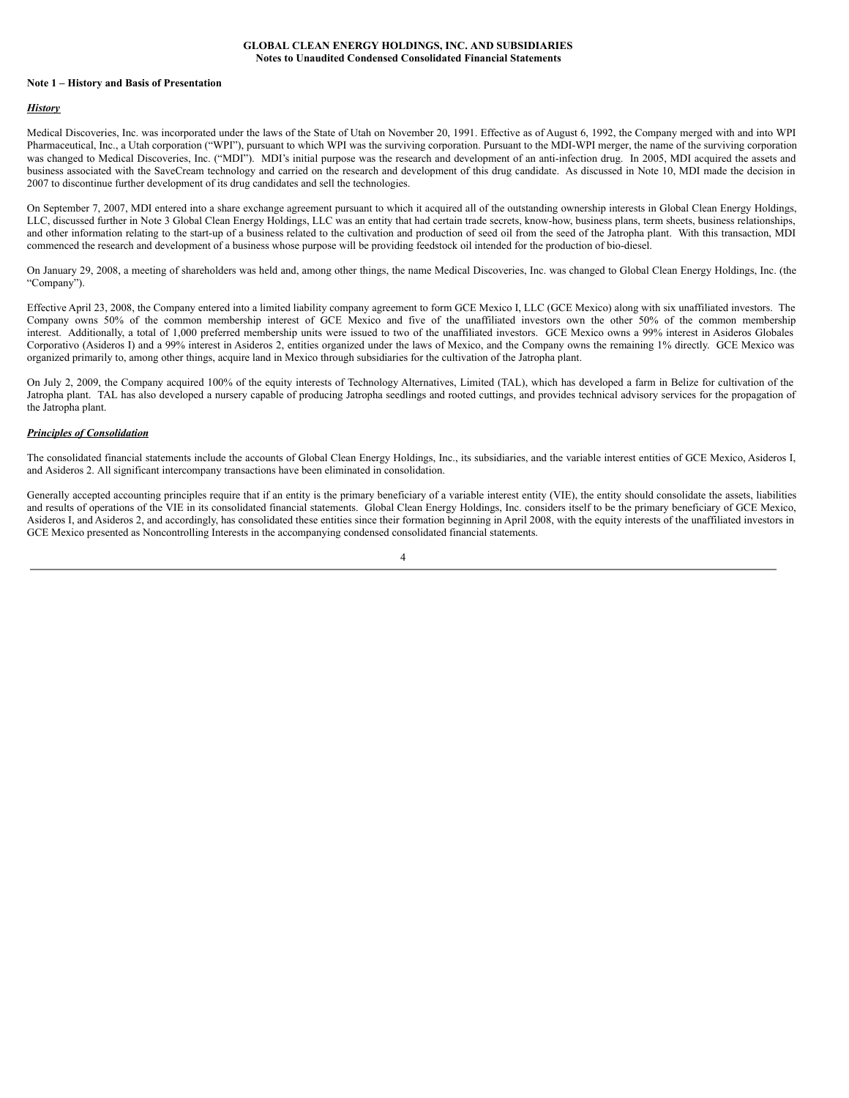### **Note 1 – History and Basis of Presentation**

### *History*

Medical Discoveries, Inc. was incorporated under the laws of the State of Utah on November 20, 1991. Effective as of August 6, 1992, the Company merged with and into WPI Pharmaceutical, Inc., a Utah corporation ("WPI"), pursuant to which WPI was the surviving corporation. Pursuant to the MDI-WPI merger, the name of the surviving corporation was changed to Medical Discoveries, Inc. ("MDI"). MDI's initial purpose was the research and development of an anti-infection drug. In 2005, MDI acquired the assets and business associated with the SaveCream technology and carried on the research and development of this drug candidate. As discussed in Note 10, MDI made the decision in 2007 to discontinue further development of its drug candidates and sell the technologies.

On September 7, 2007, MDI entered into a share exchange agreement pursuant to which it acquired all of the outstanding ownership interests in Global Clean Energy Holdings, LLC, discussed further in Note 3 Global Clean Energy Holdings, LLC was an entity that had certain trade secrets, know-how, business plans, term sheets, business relationships, and other information relating to the start-up of a business related to the cultivation and production of seed oil from the seed of the Jatropha plant. With this transaction, MDI commenced the research and development of a business whose purpose will be providing feedstock oil intended for the production of bio-diesel.

On January 29, 2008, a meeting of shareholders was held and, among other things, the name Medical Discoveries, Inc. was changed to Global Clean Energy Holdings, Inc. (the "Company").

Effective April 23, 2008, the Company entered into a limited liability company agreement to form GCE Mexico I, LLC (GCE Mexico) along with six unaffiliated investors. The Company owns 50% of the common membership interest of GCE Mexico and five of the unaffiliated investors own the other 50% of the common membership interest. Additionally, a total of 1,000 preferred membership units were issued to two of the unaffiliated investors. GCE Mexico owns a 99% interest in Asideros Globales Corporativo (Asideros I) and a 99% interest in Asideros 2, entities organized under the laws of Mexico, and the Company owns the remaining 1% directly. GCE Mexico was organized primarily to, among other things, acquire land in Mexico through subsidiaries for the cultivation of the Jatropha plant.

On July 2, 2009, the Company acquired 100% of the equity interests of Technology Alternatives, Limited (TAL), which has developed a farm in Belize for cultivation of the Jatropha plant. TAL has also developed a nursery capable of producing Jatropha seedlings and rooted cuttings, and provides technical advisory services for the propagation of the Jatropha plant.

## *Principles of Consolidation*

The consolidated financial statements include the accounts of Global Clean Energy Holdings, Inc., its subsidiaries, and the variable interest entities of GCE Mexico, Asideros I, and Asideros 2. All significant intercompany transactions have been eliminated in consolidation.

Generally accepted accounting principles require that if an entity is the primary beneficiary of a variable interest entity (VIE), the entity should consolidate the assets, liabilities and results of operations of the VIE in its consolidated financial statements. Global Clean Energy Holdings, Inc. considers itself to be the primary beneficiary of GCE Mexico, Asideros I, and Asideros 2, and accordingly, has consolidated these entities since their formation beginning in April 2008, with the equity interests of the unaffiliated investors in GCE Mexico presented as Noncontrolling Interests in the accompanying condensed consolidated financial statements.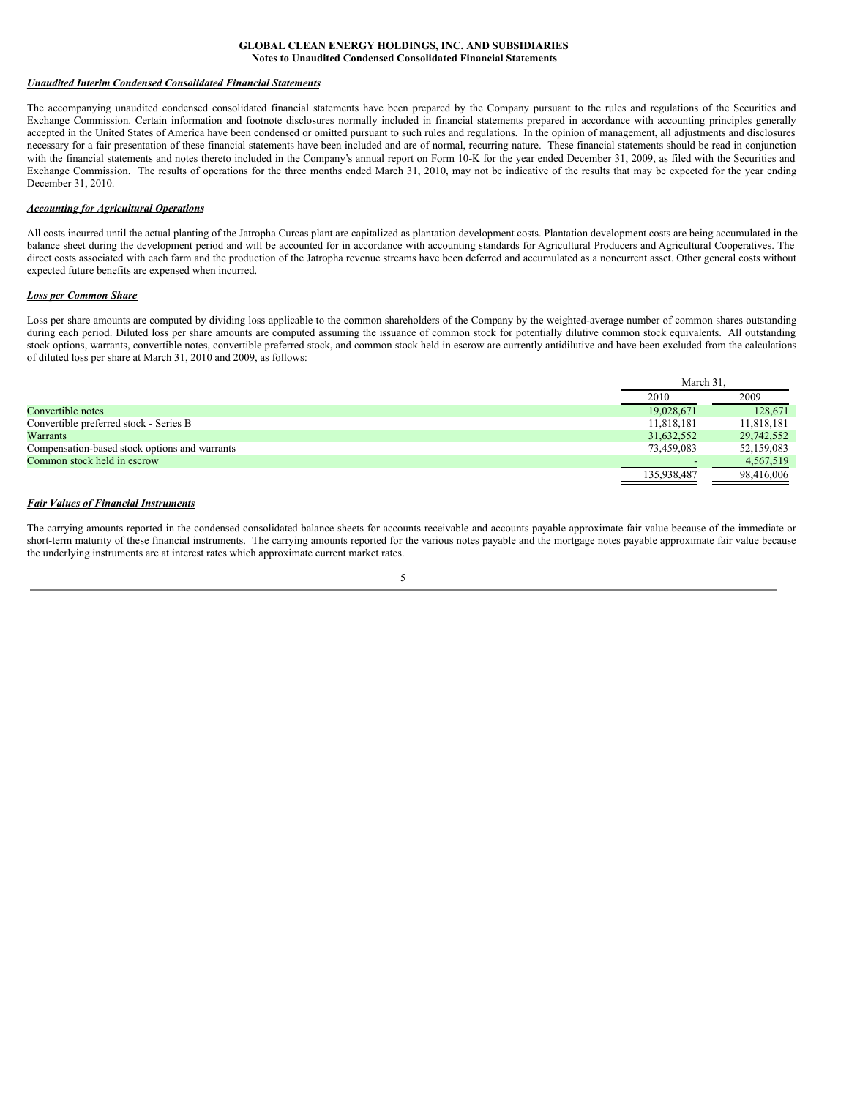## *Unaudited Interim Condensed Consolidated Financial Statements*

The accompanying unaudited condensed consolidated financial statements have been prepared by the Company pursuant to the rules and regulations of the Securities and Exchange Commission. Certain information and footnote disclosures normally included in financial statements prepared in accordance with accounting principles generally accepted in the United States of America have been condensed or omitted pursuant to such rules and regulations. In the opinion of management, all adjustments and disclosures necessary for a fair presentation of these financial statements have been included and are of normal, recurring nature. These financial statements should be read in conjunction with the financial statements and notes thereto included in the Company's annual report on Form 10-K for the year ended December 31, 2009, as filed with the Securities and Exchange Commission. The results of operations for the three months ended March 31, 2010, may not be indicative of the results that may be expected for the year ending December 31, 2010.

#### *Accounting for Agricultural Operations*

All costs incurred until the actual planting of the Jatropha Curcas plant are capitalized as plantation development costs. Plantation development costs are being accumulated in the balance sheet during the development period and will be accounted for in accordance with accounting standards for Agricultural Producers and Agricultural Cooperatives. The direct costs associated with each farm and the production of the Jatropha revenue streams have been deferred and accumulated as a noncurrent asset. Other general costs without expected future benefits are expensed when incurred.

#### *Loss per Common Share*

Loss per share amounts are computed by dividing loss applicable to the common shareholders of the Company by the weighted-average number of common shares outstanding during each period. Diluted loss per share amounts are computed assuming the issuance of common stock for potentially dilutive common stock equivalents. All outstanding stock options, warrants, convertible notes, convertible preferred stock, and common stock held in escrow are currently antidilutive and have been excluded from the calculations of diluted loss per share at March 31, 2010 and 2009, as follows:

|                                               | March 31    |            |
|-----------------------------------------------|-------------|------------|
|                                               | 2010        | 2009       |
| Convertible notes                             | 19,028,671  | 128,671    |
| Convertible preferred stock - Series B        | 11,818,181  | 11,818,181 |
| <b>Warrants</b>                               | 31,632,552  | 29,742,552 |
| Compensation-based stock options and warrants | 73,459,083  | 52,159,083 |
| Common stock held in escrow                   |             | 4,567,519  |
|                                               | 135,938,487 | 98,416,006 |

### *Fair Values of Financial Instruments*

The carrying amounts reported in the condensed consolidated balance sheets for accounts receivable and accounts payable approximate fair value because of the immediate or short-term maturity of these financial instruments. The carrying amounts reported for the various notes payable and the mortgage notes payable approximate fair value because the underlying instruments are at interest rates which approximate current market rates.

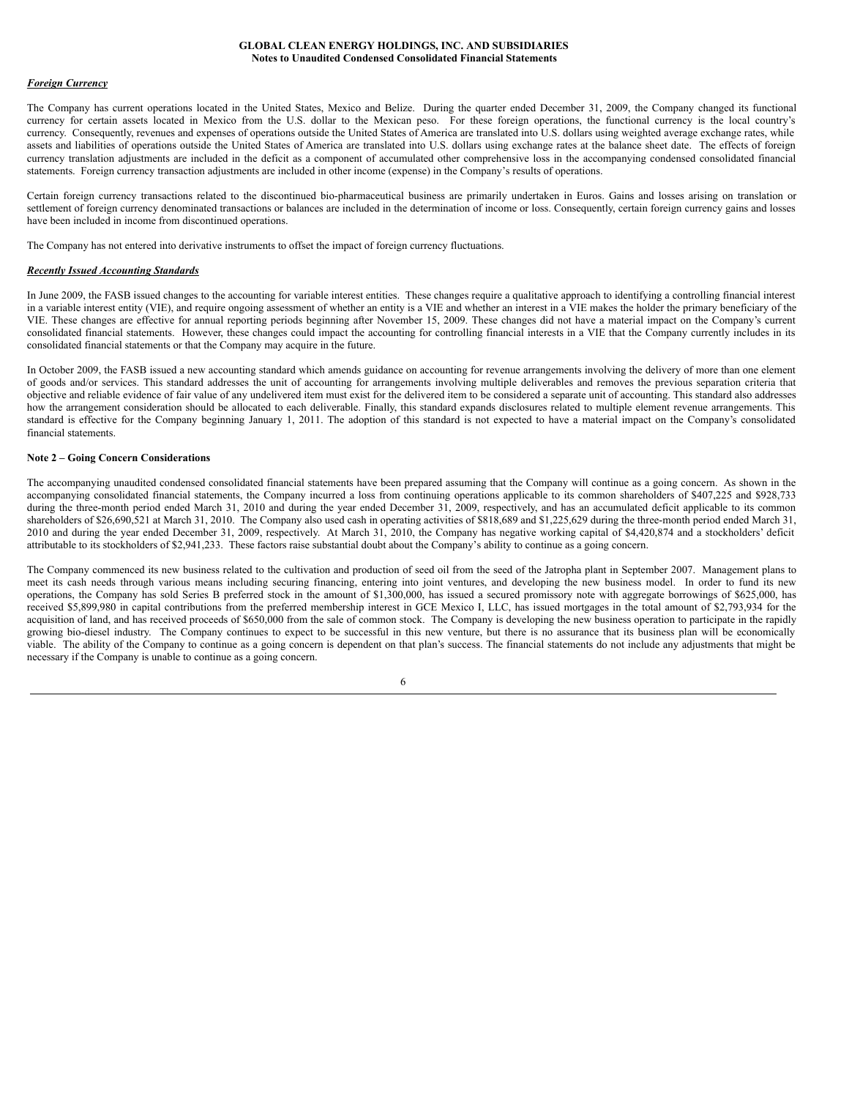### *Foreign Currency*

The Company has current operations located in the United States, Mexico and Belize. During the quarter ended December 31, 2009, the Company changed its functional currency for certain assets located in Mexico from the U.S. dollar to the Mexican peso. For these foreign operations, the functional currency is the local country's currency. Consequently, revenues and expenses of operations outside the United States of America are translated into U.S. dollars using weighted average exchange rates, while assets and liabilities of operations outside the United States of America are translated into U.S. dollars using exchange rates at the balance sheet date. The effects of foreign currency translation adjustments are included in the deficit as a component of accumulated other comprehensive loss in the accompanying condensed consolidated financial statements. Foreign currency transaction adjustments are included in other income (expense) in the Company's results of operations.

Certain foreign currency transactions related to the discontinued bio-pharmaceutical business are primarily undertaken in Euros. Gains and losses arising on translation or settlement of foreign currency denominated transactions or balances are included in the determination of income or loss. Consequently, certain foreign currency gains and losses have been included in income from discontinued operations.

The Company has not entered into derivative instruments to offset the impact of foreign currency fluctuations.

#### *Recently Issued Accounting Standards*

In June 2009, the FASB issued changes to the accounting for variable interest entities. These changes require a qualitative approach to identifying a controlling financial interest in a variable interest entity (VIE), and require ongoing assessment of whether an entity is a VIE and whether an interest in a VIE makes the holder the primary beneficiary of the VIE. These changes are effective for annual reporting periods beginning after November 15, 2009. These changes did not have a material impact on the Company's current consolidated financial statements. However, these changes could impact the accounting for controlling financial interests in a VIE that the Company currently includes in its consolidated financial statements or that the Company may acquire in the future.

In October 2009, the FASB issued a new accounting standard which amends guidance on accounting for revenue arrangements involving the delivery of more than one element of goods and/or services. This standard addresses the unit of accounting for arrangements involving multiple deliverables and removes the previous separation criteria that objective and reliable evidence of fair value of any undelivered item must exist for the delivered item to be considered a separate unit of accounting. This standard also addresses how the arrangement consideration should be allocated to each deliverable. Finally, this standard expands disclosures related to multiple element revenue arrangements. This standard is effective for the Company beginning January 1, 2011. The adoption of this standard is not expected to have a material impact on the Company's consolidated financial statements.

### **Note 2 – Going Concern Considerations**

The accompanying unaudited condensed consolidated financial statements have been prepared assuming that the Company will continue as a going concern. As shown in the accompanying consolidated financial statements, the Company incurred a loss from continuing operations applicable to its common shareholders of \$407,225 and \$928,733 during the three-month period ended March 31, 2010 and during the year ended December 31, 2009, respectively, and has an accumulated deficit applicable to its common shareholders of \$26,690,521 at March 31, 2010. The Company also used cash in operating activities of \$818,689 and \$1,225,629 during the three-month period ended March 31, 2010 and during the year ended December 31, 2009, respectively. At March 31, 2010, the Company has negative working capital of \$4,420,874 and a stockholders' deficit attributable to its stockholders of \$2,941,233. These factors raise substantial doubt about the Company's ability to continue as a going concern.

The Company commenced its new business related to the cultivation and production of seed oil from the seed of the Jatropha plant in September 2007. Management plans to meet its cash needs through various means including securing financing, entering into joint ventures, and developing the new business model. In order to fund its new operations, the Company has sold Series B preferred stock in the amount of \$1,300,000, has issued a secured promissory note with aggregate borrowings of \$625,000, has received \$5,899,980 in capital contributions from the preferred membership interest in GCE Mexico I, LLC, has issued mortgages in the total amount of \$2,793,934 for the acquisition of land, and has received proceeds of \$650,000 from the sale of common stock. The Company is developing the new business operation to participate in the rapidly growing bio-diesel industry. The Company continues to expect to be successful in this new venture, but there is no assurance that its business plan will be economically viable. The ability of the Company to continue as a going concern is dependent on that plan's success. The financial statements do not include any adjustments that might be necessary if the Company is unable to continue as a going concern.

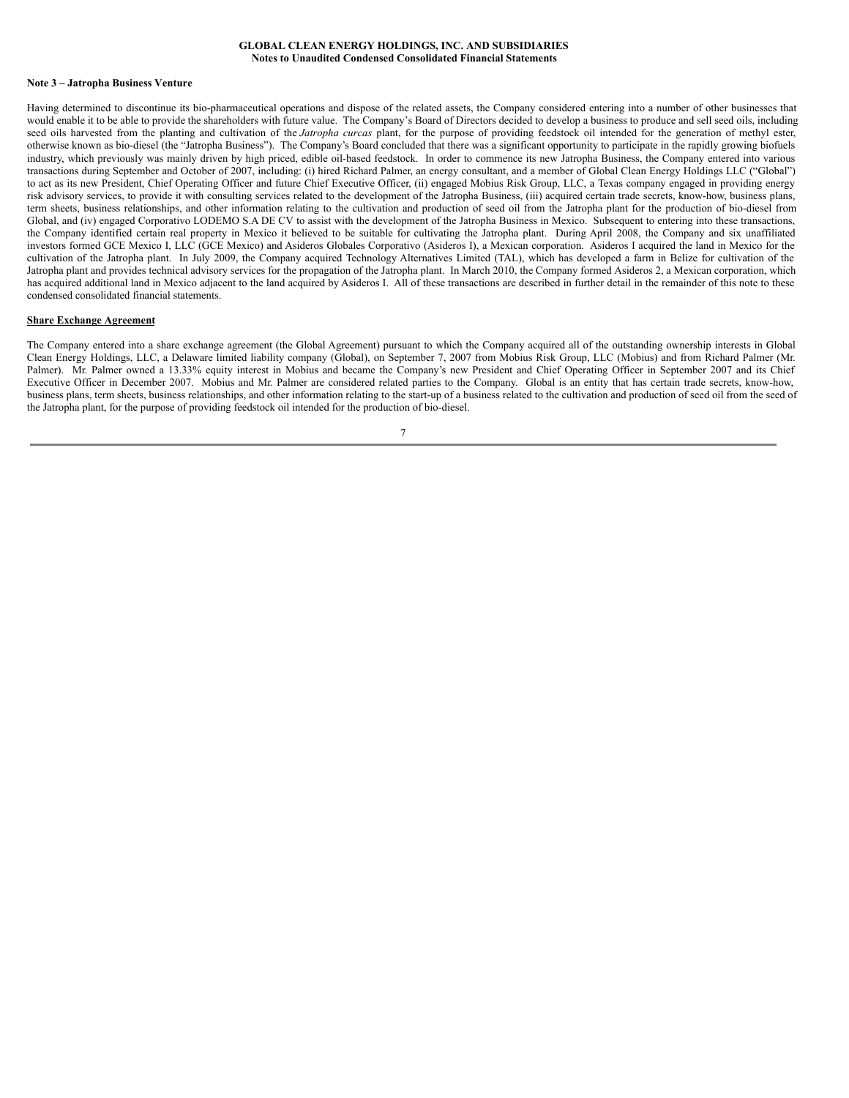### **Note 3 – Jatropha Business Venture**

Having determined to discontinue its bio-pharmaceutical operations and dispose of the related assets, the Company considered entering into a number of other businesses that would enable it to be able to provide the shareholders with future value. The Company's Board of Directors decided to develop a business to produce and sell seed oils, including seed oils harvested from the planting and cultivation of the *Jatropha curcas* plant, for the purpose of providing feedstock oil intended for the generation of methyl ester, otherwise known as bio-diesel (the "Jatropha Business"). The Company's Board concluded that there was a significant opportunity to participate in the rapidly growing biofuels industry, which previously was mainly driven by high priced, edible oil-based feedstock. In order to commence its new Jatropha Business, the Company entered into various transactions during September and October of 2007, including: (i) hired Richard Palmer, an energy consultant, and a member of Global Clean Energy Holdings LLC ("Global") to act as its new President, Chief Operating Officer and future Chief Executive Officer, (ii) engaged Mobius Risk Group, LLC, a Texas company engaged in providing energy risk advisory services, to provide it with consulting services related to the development of the Jatropha Business, (iii) acquired certain trade secrets, know-how, business plans, term sheets, business relationships, and other information relating to the cultivation and production of seed oil from the Jatropha plant for the production of bio-diesel from Global, and (iv) engaged Corporativo LODEMO S.A DE CV to assist with the development of the Jatropha Business in Mexico. Subsequent to entering into these transactions, the Company identified certain real property in Mexico it believed to be suitable for cultivating the Jatropha plant. During April 2008, the Company and six unaffiliated investors formed GCE Mexico I, LLC (GCE Mexico) and Asideros Globales Corporativo (Asideros I), a Mexican corporation. Asideros I acquired the land in Mexico for the cultivation of the Jatropha plant. In July 2009, the Company acquired Technology Alternatives Limited (TAL), which has developed a farm in Belize for cultivation of the Jatropha plant and provides technical advisory services for the propagation of the Jatropha plant. In March 2010, the Company formed Asideros 2, a Mexican corporation, which has acquired additional land in Mexico adjacent to the land acquired by Asideros I. All of these transactions are described in further detail in the remainder of this note to these condensed consolidated financial statements.

### **Share Exchange Agreement**

The Company entered into a share exchange agreement (the Global Agreement) pursuant to which the Company acquired all of the outstanding ownership interests in Global Clean Energy Holdings, LLC, a Delaware limited liability company (Global), on September 7, 2007 from Mobius Risk Group, LLC (Mobius) and from Richard Palmer (Mr. Palmer). Mr. Palmer owned a 13.33% equity interest in Mobius and became the Company's new President and Chief Operating Officer in September 2007 and its Chief Executive Officer in December 2007. Mobius and Mr. Palmer are considered related parties to the Company. Global is an entity that has certain trade secrets, know-how, business plans, term sheets, business relationships, and other information relating to the start-up of a business related to the cultivation and production of seed oil from the seed of the Jatropha plant, for the purpose of providing feedstock oil intended for the production of bio-diesel.

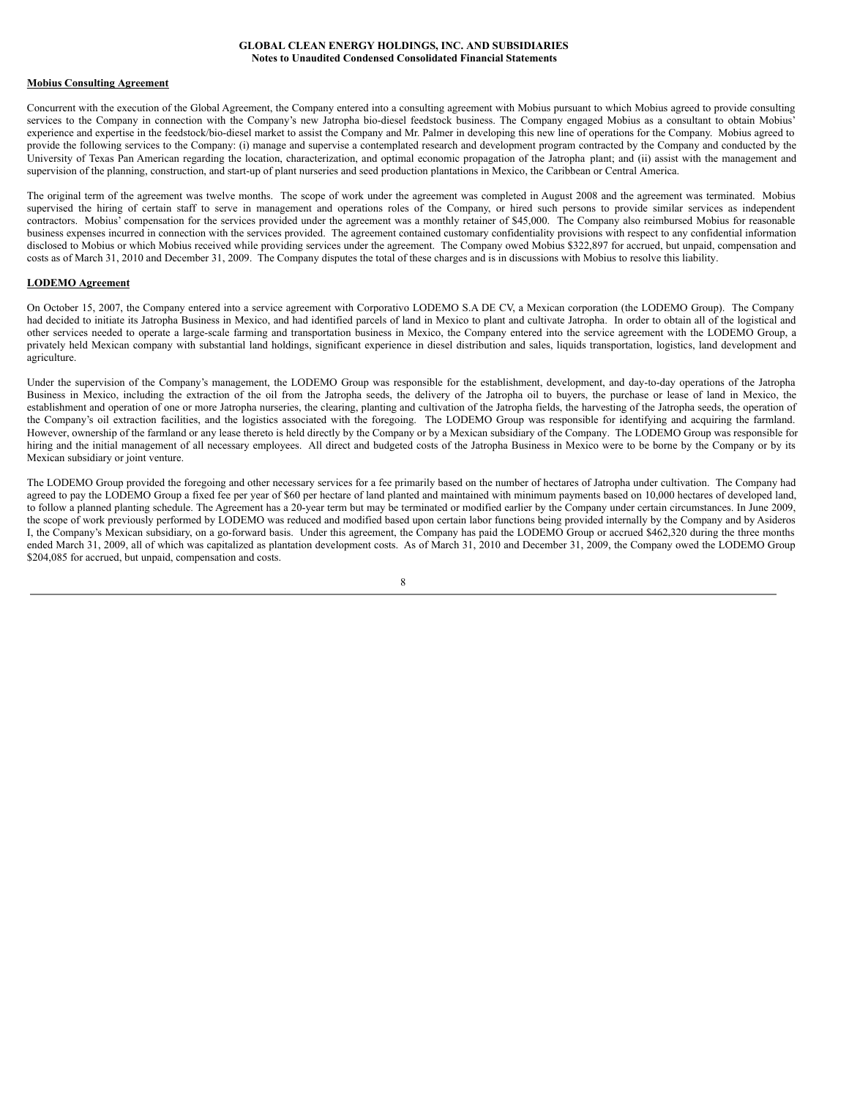### **Mobius Consulting Agreement**

Concurrent with the execution of the Global Agreement, the Company entered into a consulting agreement with Mobius pursuant to which Mobius agreed to provide consulting services to the Company in connection with the Company's new Jatropha bio-diesel feedstock business. The Company engaged Mobius as a consultant to obtain Mobius' experience and expertise in the feedstock/bio-diesel market to assist the Company and Mr. Palmer in developing this new line of operations for the Company. Mobius agreed to provide the following services to the Company: (i) manage and supervise a contemplated research and development program contracted by the Company and conducted by the University of Texas Pan American regarding the location, characterization, and optimal economic propagation of the Jatropha plant; and (ii) assist with the management and supervision of the planning, construction, and start-up of plant nurseries and seed production plantations in Mexico, the Caribbean or Central America.

The original term of the agreement was twelve months. The scope of work under the agreement was completed in August 2008 and the agreement was terminated. Mobius supervised the hiring of certain staff to serve in management and operations roles of the Company, or hired such persons to provide similar services as independent contractors. Mobius' compensation for the services provided under the agreement was a monthly retainer of \$45,000. The Company also reimbursed Mobius for reasonable business expenses incurred in connection with the services provided. The agreement contained customary confidentiality provisions with respect to any confidential information disclosed to Mobius or which Mobius received while providing services under the agreement. The Company owed Mobius \$322,897 for accrued, but unpaid, compensation and costs as of March 31, 2010 and December 31, 2009. The Company disputes the total of these charges and is in discussions with Mobius to resolve this liability.

#### **LODEMO Agreement**

On October 15, 2007, the Company entered into a service agreement with Corporativo LODEMO S.A DE CV, a Mexican corporation (the LODEMO Group). The Company had decided to initiate its Jatropha Business in Mexico, and had identified parcels of land in Mexico to plant and cultivate Jatropha. In order to obtain all of the logistical and other services needed to operate a large-scale farming and transportation business in Mexico, the Company entered into the service agreement with the LODEMO Group, a privately held Mexican company with substantial land holdings, significant experience in diesel distribution and sales, liquids transportation, logistics, land development and agriculture.

Under the supervision of the Company's management, the LODEMO Group was responsible for the establishment, development, and day-to-day operations of the Jatropha Business in Mexico, including the extraction of the oil from the Jatropha seeds, the delivery of the Jatropha oil to buyers, the purchase or lease of land in Mexico, the establishment and operation of one or more Jatropha nurseries, the clearing, planting and cultivation of the Jatropha fields, the harvesting of the Jatropha seeds, the operation of the Company's oil extraction facilities, and the logistics associated with the foregoing. The LODEMO Group was responsible for identifying and acquiring the farmland. However, ownership of the farmland or any lease thereto is held directly by the Company or by a Mexican subsidiary of the Company. The LODEMO Group was responsible for hiring and the initial management of all necessary employees. All direct and budgeted costs of the Jatropha Business in Mexico were to be borne by the Company or by its Mexican subsidiary or joint venture.

The LODEMO Group provided the foregoing and other necessary services for a fee primarily based on the number of hectares of Jatropha under cultivation. The Company had agreed to pay the LODEMO Group a fixed fee per year of \$60 per hectare of land planted and maintained with minimum payments based on 10,000 hectares of developed land, to follow a planned planting schedule. The Agreement has a 20-year term but may be terminated or modified earlier by the Company under certain circumstances. In June 2009, the scope of work previously performed by LODEMO was reduced and modified based upon certain labor functions being provided internally by the Company and by Asideros I, the Company's Mexican subsidiary, on a go-forward basis. Under this agreement, the Company has paid the LODEMO Group or accrued \$462,320 during the three months ended March 31, 2009, all of which was capitalized as plantation development costs. As of March 31, 2010 and December 31, 2009, the Company owed the LODEMO Group \$204,085 for accrued, but unpaid, compensation and costs.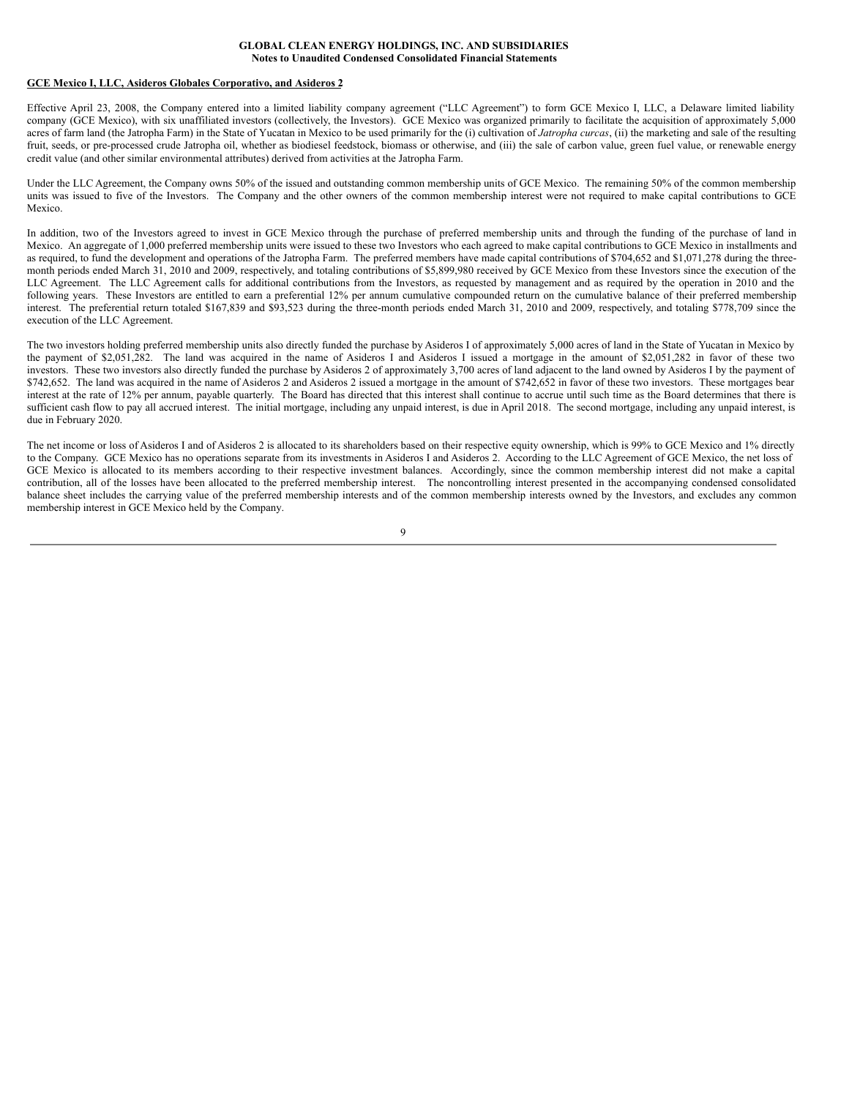## **GCE Mexico I, LLC, Asideros Globales Corporativo, and Asideros 2**

Effective April 23, 2008, the Company entered into a limited liability company agreement ("LLC Agreement") to form GCE Mexico I, LLC, a Delaware limited liability company (GCE Mexico), with six unaffiliated investors (collectively, the Investors). GCE Mexico was organized primarily to facilitate the acquisition of approximately 5,000 acres of farm land (the Jatropha Farm) in the State of Yucatan in Mexico to be used primarily for the (i) cultivation of *Jatropha curcas*, (ii) the marketing and sale of the resulting fruit, seeds, or pre-processed crude Jatropha oil, whether as biodiesel feedstock, biomass or otherwise, and (iii) the sale of carbon value, green fuel value, or renewable energy credit value (and other similar environmental attributes) derived from activities at the Jatropha Farm.

Under the LLC Agreement, the Company owns 50% of the issued and outstanding common membership units of GCE Mexico. The remaining 50% of the common membership units was issued to five of the Investors. The Company and the other owners of the common membership interest were not required to make capital contributions to GCE Mexico.

In addition, two of the Investors agreed to invest in GCE Mexico through the purchase of preferred membership units and through the funding of the purchase of land in Mexico. An aggregate of 1,000 preferred membership units were issued to these two Investors who each agreed to make capital contributions to GCE Mexico in installments and as required, to fund the development and operations of the Jatropha Farm. The preferred members have made capital contributions of \$704,652 and \$1,071,278 during the threemonth periods ended March 31, 2010 and 2009, respectively, and totaling contributions of \$5,899,980 received by GCE Mexico from these Investors since the execution of the LLC Agreement. The LLC Agreement calls for additional contributions from the Investors, as requested by management and as required by the operation in 2010 and the following years. These Investors are entitled to earn a preferential 12% per annum cumulative compounded return on the cumulative balance of their preferred membership interest. The preferential return totaled \$167,839 and \$93,523 during the three-month periods ended March 31, 2010 and 2009, respectively, and totaling \$778,709 since the execution of the LLC Agreement.

The two investors holding preferred membership units also directly funded the purchase by Asideros I of approximately 5,000 acres of land in the State of Yucatan in Mexico by the payment of \$2,051,282. The land was acquired in the name of Asideros I and Asideros I issued a mortgage in the amount of \$2,051,282 in favor of these two investors. These two investors also directly funded the purchase by Asideros 2 of approximately 3,700 acres of land adjacent to the land owned by Asideros I by the payment of \$742,652. The land was acquired in the name of Asideros 2 and Asideros 2 issued a mortgage in the amount of \$742,652 in favor of these two investors. These mortgages bear interest at the rate of 12% per annum, payable quarterly. The Board has directed that this interest shall continue to accrue until such time as the Board determines that there is sufficient cash flow to pay all accrued interest. The initial mortgage, including any unpaid interest, is due in April 2018. The second mortgage, including any unpaid interest, is due in February 2020.

The net income or loss of Asideros I and of Asideros 2 is allocated to its shareholders based on their respective equity ownership, which is 99% to GCE Mexico and 1% directly to the Company. GCE Mexico has no operations separate from its investments in Asideros I and Asideros 2. According to the LLC Agreement of GCE Mexico, the net loss of GCE Mexico is allocated to its members according to their respective investment balances. Accordingly, since the common membership interest did not make a capital contribution, all of the losses have been allocated to the preferred membership interest. The noncontrolling interest presented in the accompanying condensed consolidated balance sheet includes the carrying value of the preferred membership interests and of the common membership interests owned by the Investors, and excludes any common membership interest in GCE Mexico held by the Company.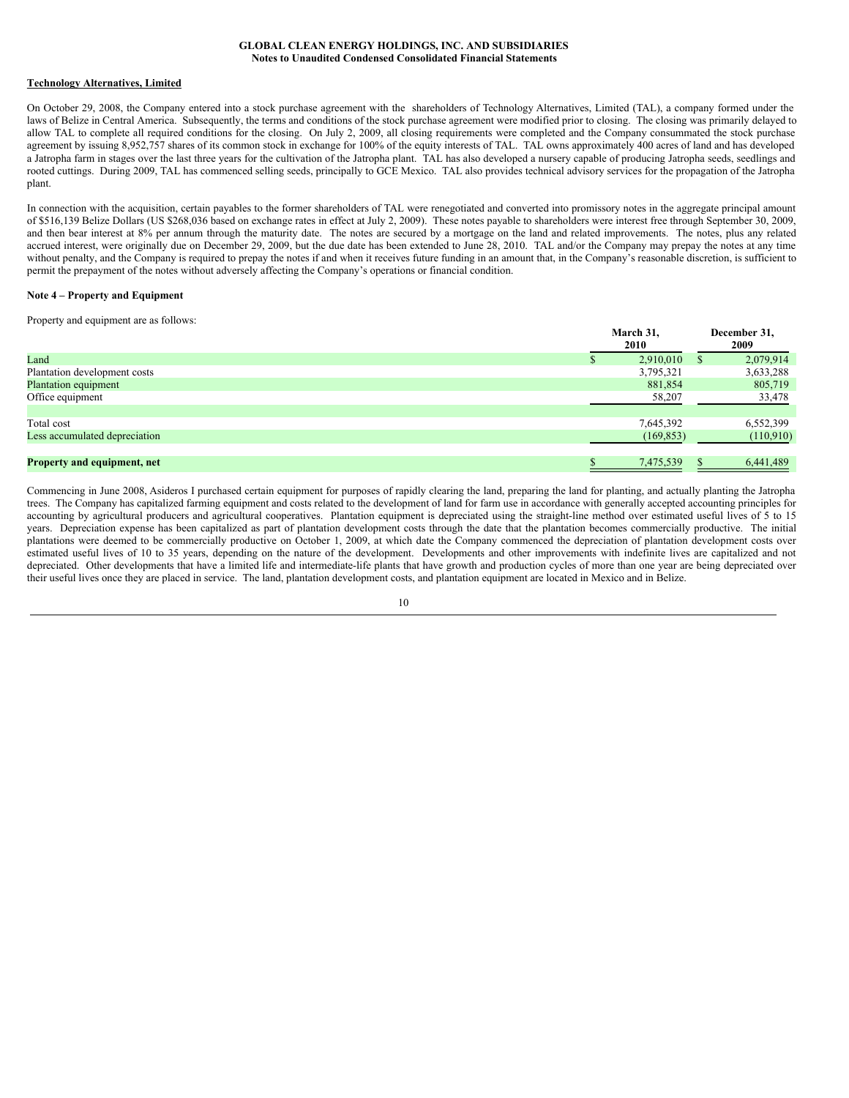### **Technology Alternatives, Limited**

On October 29, 2008, the Company entered into a stock purchase agreement with the shareholders of Technology Alternatives, Limited (TAL), a company formed under the laws of Belize in Central America. Subsequently, the terms and conditions of the stock purchase agreement were modified prior to closing. The closing was primarily delayed to allow TAL to complete all required conditions for the closing. On July 2, 2009, all closing requirements were completed and the Company consummated the stock purchase agreement by issuing 8,952,757 shares of its common stock in exchange for 100% of the equity interests of TAL. TAL owns approximately 400 acres of land and has developed a Jatropha farm in stages over the last three years for the cultivation of the Jatropha plant. TAL has also developed a nursery capable of producing Jatropha seeds, seedlings and rooted cuttings. During 2009, TAL has commenced selling seeds, principally to GCE Mexico. TAL also provides technical advisory services for the propagation of the Jatropha plant.

In connection with the acquisition, certain payables to the former shareholders of TAL were renegotiated and converted into promissory notes in the aggregate principal amount of \$516,139 Belize Dollars (US \$268,036 based on exchange rates in effect at July 2, 2009). These notes payable to shareholders were interest free through September 30, 2009, and then bear interest at 8% per annum through the maturity date. The notes are secured by a mortgage on the land and related improvements. The notes, plus any related accrued interest, were originally due on December 29, 2009, but the due date has been extended to June 28, 2010. TAL and/or the Company may prepay the notes at any time without penalty, and the Company is required to prepay the notes if and when it receives future funding in an amount that, in the Company's reasonable discretion, is sufficient to permit the prepayment of the notes without adversely affecting the Company's operations or financial condition.

### **Note 4 – Property and Equipment**

Property and equipment are as follows:

|                                    | March 31,<br>2010 | December 31,<br>2009 |
|------------------------------------|-------------------|----------------------|
| Land                               | 2,910,010         | 2,079,914            |
| Plantation development costs       | 3,795,321         | 3,633,288            |
| <b>Plantation equipment</b>        | 881,854           | 805,719              |
| Office equipment                   | 58,207            | 33,478               |
|                                    |                   |                      |
| Total cost                         | 7,645,392         | 6,552,399            |
| Less accumulated depreciation      | (169, 853)        | (110,910)            |
|                                    |                   |                      |
| <b>Property and equipment, net</b> | 7,475,539         | 6,441,489            |

Commencing in June 2008, Asideros I purchased certain equipment for purposes of rapidly clearing the land, preparing the land for planting, and actually planting the Jatropha trees. The Company has capitalized farming equipment and costs related to the development of land for farm use in accordance with generally accepted accounting principles for accounting by agricultural producers and agricultural cooperatives. Plantation equipment is depreciated using the straight-line method over estimated useful lives of 5 to 15 years. Depreciation expense has been capitalized as part of plantation development costs through the date that the plantation becomes commercially productive. The initial plantations were deemed to be commercially productive on October 1, 2009, at which date the Company commenced the depreciation of plantation development costs over estimated useful lives of 10 to 35 years, depending on the nature of the development. Developments and other improvements with indefinite lives are capitalized and not depreciated. Other developments that have a limited life and intermediate-life plants that have growth and production cycles of more than one year are being depreciated over their useful lives once they are placed in service. The land, plantation development costs, and plantation equipment are located in Mexico and in Belize.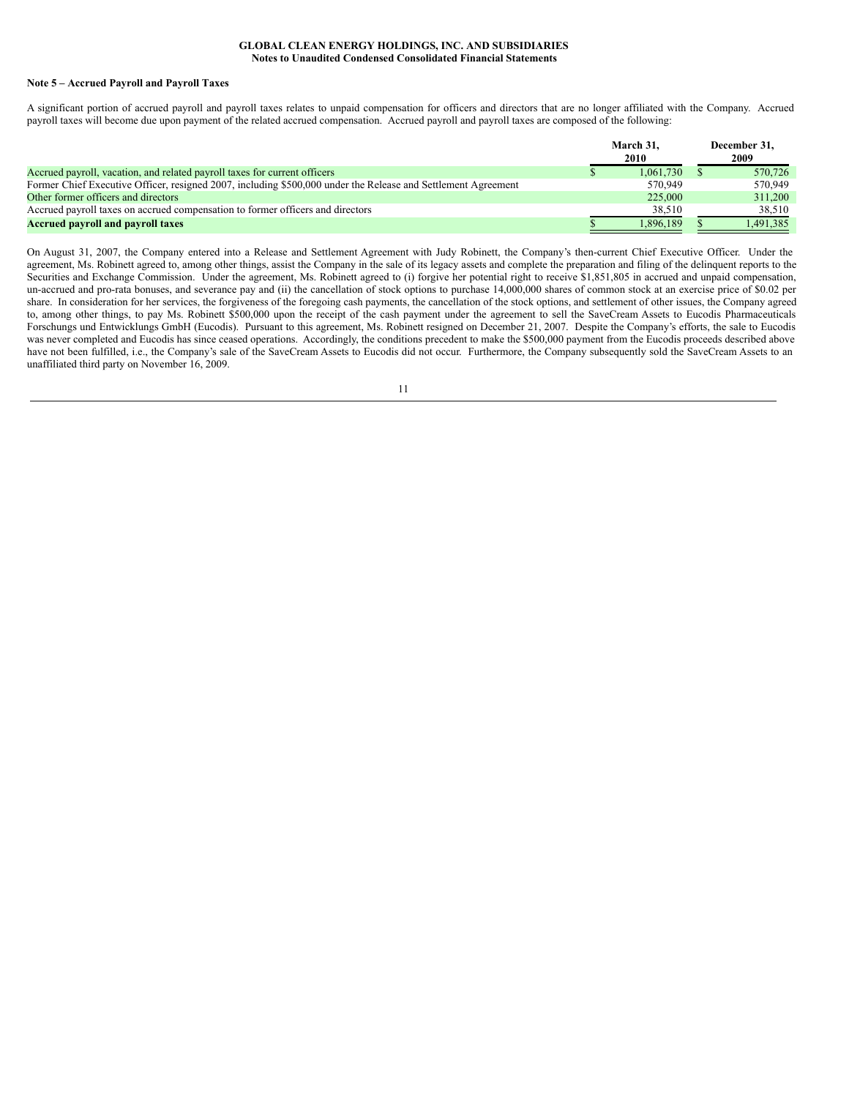### **Note 5 – Accrued Payroll and Payroll Taxes**

A significant portion of accrued payroll and payroll taxes relates to unpaid compensation for officers and directors that are no longer affiliated with the Company. Accrued payroll taxes will become due upon payment of the related accrued compensation. Accrued payroll and payroll taxes are composed of the following:

|                                                                                                               | March 31.<br>2010 | December 31,<br>2009 |
|---------------------------------------------------------------------------------------------------------------|-------------------|----------------------|
| Accrued payroll, vacation, and related payroll taxes for current officers                                     | 1.061.730         | 570.726              |
| Former Chief Executive Officer, resigned 2007, including \$500,000 under the Release and Settlement Agreement | 570,949           | 570.949              |
| Other former officers and directors                                                                           | 225,000           | 311.200              |
| Accrued payroll taxes on accrued compensation to former officers and directors                                | 38.510            | 38.510               |
| <b>Accrued payroll and payroll taxes</b>                                                                      | 1.896.189         | .491,385             |

On August 31, 2007, the Company entered into a Release and Settlement Agreement with Judy Robinett, the Company's then-current Chief Executive Officer. Under the agreement, Ms. Robinett agreed to, among other things, assist the Company in the sale of its legacy assets and complete the preparation and filing of the delinquent reports to the Securities and Exchange Commission. Under the agreement, Ms. Robinett agreed to (i) forgive her potential right to receive \$1,851,805 in accrued and unpaid compensation, un-accrued and pro-rata bonuses, and severance pay and (ii) the cancellation of stock options to purchase 14,000,000 shares of common stock at an exercise price of \$0.02 per share. In consideration for her services, the forgiveness of the foregoing cash payments, the cancellation of the stock options, and settlement of other issues, the Company agreed to, among other things, to pay Ms. Robinett \$500,000 upon the receipt of the cash payment under the agreement to sell the SaveCream Assets to Eucodis Pharmaceuticals Forschungs und Entwicklungs GmbH (Eucodis). Pursuant to this agreement, Ms. Robinett resigned on December 21, 2007. Despite the Company's efforts, the sale to Eucodis was never completed and Eucodis has since ceased operations. Accordingly, the conditions precedent to make the \$500,000 payment from the Eucodis proceeds described above have not been fulfilled, i.e., the Company's sale of the SaveCream Assets to Eucodis did not occur. Furthermore, the Company subsequently sold the SaveCream Assets to an unaffiliated third party on November 16, 2009.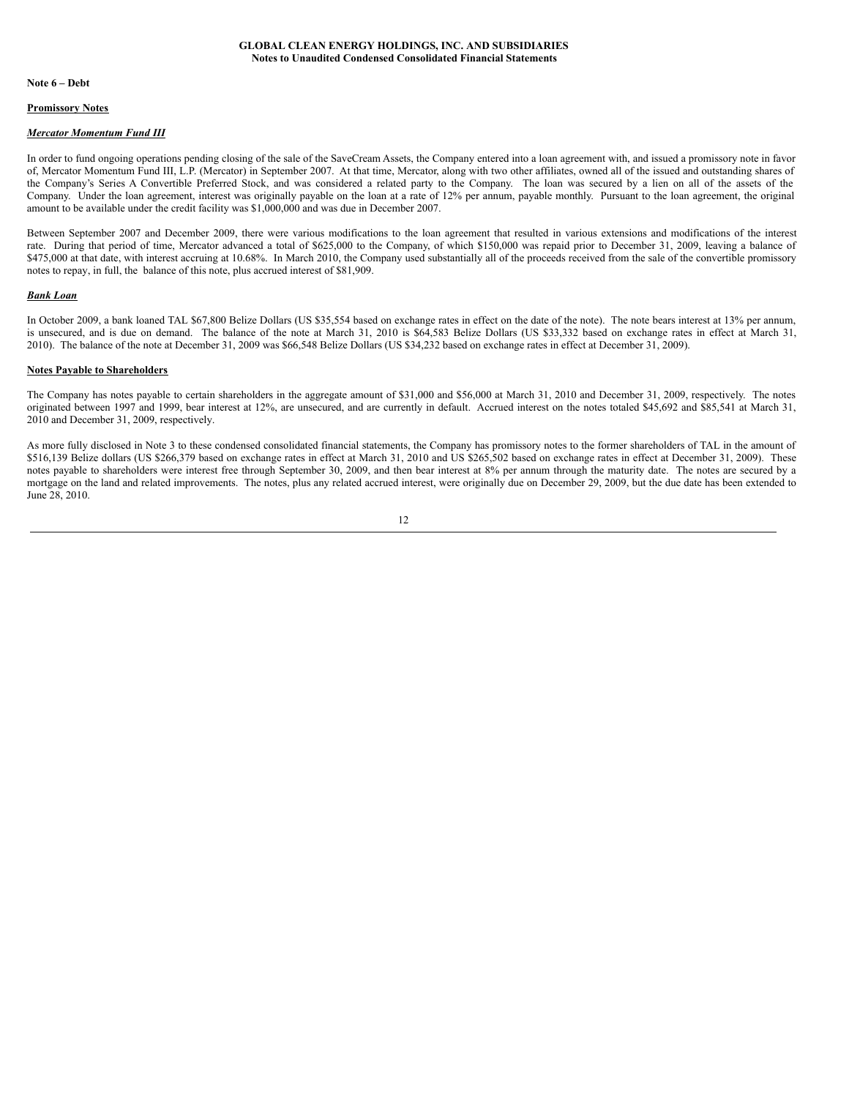### **Note 6 – Debt**

#### **Promissory Notes**

#### *Mercator Momentum Fund III*

In order to fund ongoing operations pending closing of the sale of the SaveCream Assets, the Company entered into a loan agreement with, and issued a promissory note in favor of, Mercator Momentum Fund III, L.P. (Mercator) in September 2007. At that time, Mercator, along with two other affiliates, owned all of the issued and outstanding shares of the Company's Series A Convertible Preferred Stock, and was considered a related party to the Company. The loan was secured by a lien on all of the assets of the Company. Under the loan agreement, interest was originally payable on the loan at a rate of 12% per annum, payable monthly. Pursuant to the loan agreement, the original amount to be available under the credit facility was \$1,000,000 and was due in December 2007.

Between September 2007 and December 2009, there were various modifications to the loan agreement that resulted in various extensions and modifications of the interest rate. During that period of time, Mercator advanced a total of \$625,000 to the Company, of which \$150,000 was repaid prior to December 31, 2009, leaving a balance of \$475,000 at that date, with interest accruing at 10.68%. In March 2010, the Company used substantially all of the proceeds received from the sale of the convertible promissory notes to repay, in full, the balance of this note, plus accrued interest of \$81,909.

#### *Bank Loan*

In October 2009, a bank loaned TAL \$67,800 Belize Dollars (US \$35,554 based on exchange rates in effect on the date of the note). The note bears interest at 13% per annum, is unsecured, and is due on demand. The balance of the note at March 31, 2010 is \$64,583 Belize Dollars (US \$33,332 based on exchange rates in effect at March 31, 2010). The balance of the note at December 31, 2009 was \$66,548 Belize Dollars (US \$34,232 based on exchange rates in effect at December 31, 2009).

### **Notes Payable to Shareholders**

The Company has notes payable to certain shareholders in the aggregate amount of \$31,000 and \$56,000 at March 31, 2010 and December 31, 2009, respectively. The notes originated between 1997 and 1999, bear interest at 12%, are unsecured, and are currently in default. Accrued interest on the notes totaled \$45,692 and \$85,541 at March 31, 2010 and December 31, 2009, respectively.

As more fully disclosed in Note 3 to these condensed consolidated financial statements, the Company has promissory notes to the former shareholders of TAL in the amount of \$516,139 Belize dollars (US \$266,379 based on exchange rates in effect at March 31, 2010 and US \$265,502 based on exchange rates in effect at December 31, 2009). These notes payable to shareholders were interest free through September 30, 2009, and then bear interest at 8% per annum through the maturity date. The notes are secured by a mortgage on the land and related improvements. The notes, plus any related accrued interest, were originally due on December 29, 2009, but the due date has been extended to June 28, 2010.

12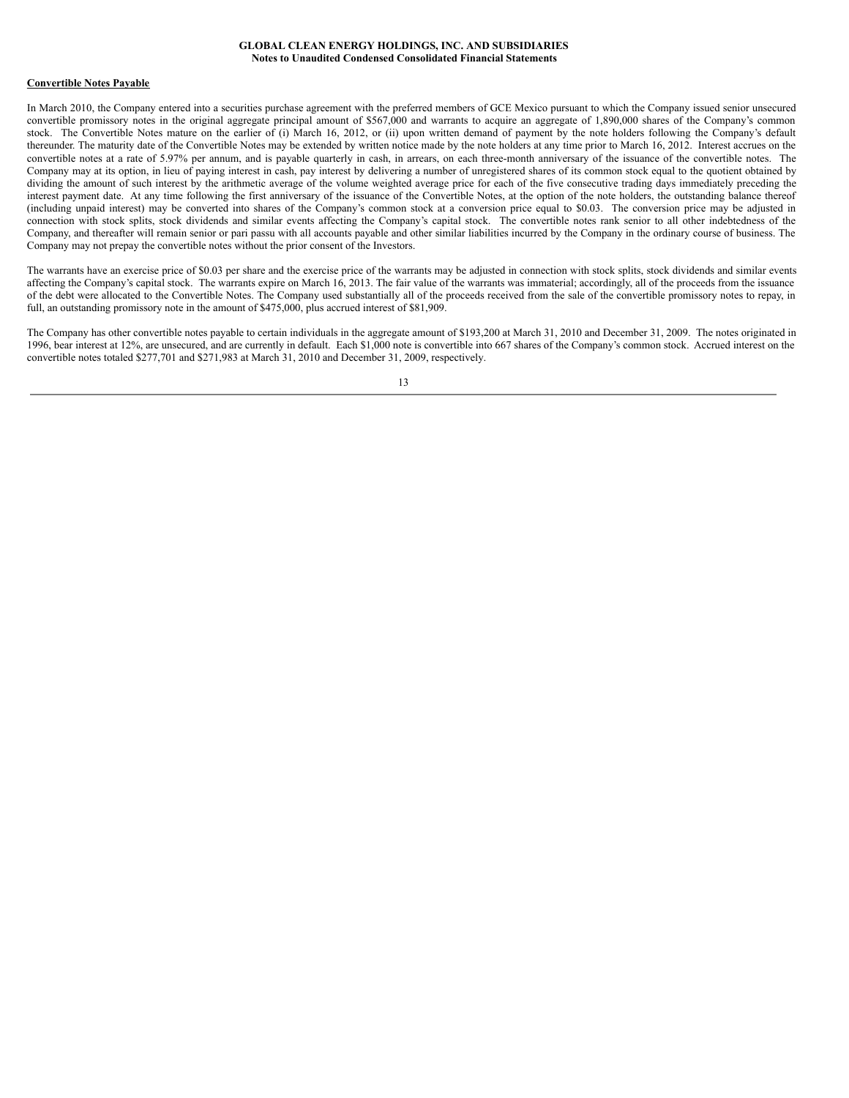### **Convertible Notes Payable**

In March 2010, the Company entered into a securities purchase agreement with the preferred members of GCE Mexico pursuant to which the Company issued senior unsecured convertible promissory notes in the original aggregate principal amount of \$567,000 and warrants to acquire an aggregate of 1,890,000 shares of the Company's common stock. The Convertible Notes mature on the earlier of (i) March 16, 2012, or (ii) upon written demand of payment by the note holders following the Company's default thereunder. The maturity date of the Convertible Notes may be extended by written notice made by the note holders at any time prior to March 16, 2012. Interest accrues on the convertible notes at a rate of 5.97% per annum, and is payable quarterly in cash, in arrears, on each three-month anniversary of the issuance of the convertible notes. The Company may at its option, in lieu of paying interest in cash, pay interest by delivering a number of unregistered shares of its common stock equal to the quotient obtained by dividing the amount of such interest by the arithmetic average of the volume weighted average price for each of the five consecutive trading days immediately preceding the interest payment date. At any time following the first anniversary of the issuance of the Convertible Notes, at the option of the note holders, the outstanding balance thereof (including unpaid interest) may be converted into shares of the Company's common stock at a conversion price equal to \$0.03. The conversion price may be adjusted in connection with stock splits, stock dividends and similar events affecting the Company's capital stock. The convertible notes rank senior to all other indebtedness of the Company, and thereafter will remain senior or pari passu with all accounts payable and other similar liabilities incurred by the Company in the ordinary course of business. The Company may not prepay the convertible notes without the prior consent of the Investors.

The warrants have an exercise price of \$0.03 per share and the exercise price of the warrants may be adjusted in connection with stock splits, stock dividends and similar events affecting the Company's capital stock. The warrants expire on March 16, 2013. The fair value of the warrants was immaterial; accordingly, all of the proceeds from the issuance of the debt were allocated to the Convertible Notes. The Company used substantially all of the proceeds received from the sale of the convertible promissory notes to repay, in full, an outstanding promissory note in the amount of \$475,000, plus accrued interest of \$81,909.

The Company has other convertible notes payable to certain individuals in the aggregate amount of \$193,200 at March 31, 2010 and December 31, 2009. The notes originated in 1996, bear interest at 12%, are unsecured, and are currently in default. Each \$1,000 note is convertible into 667 shares of the Company's common stock. Accrued interest on the convertible notes totaled \$277,701 and \$271,983 at March 31, 2010 and December 31, 2009, respectively.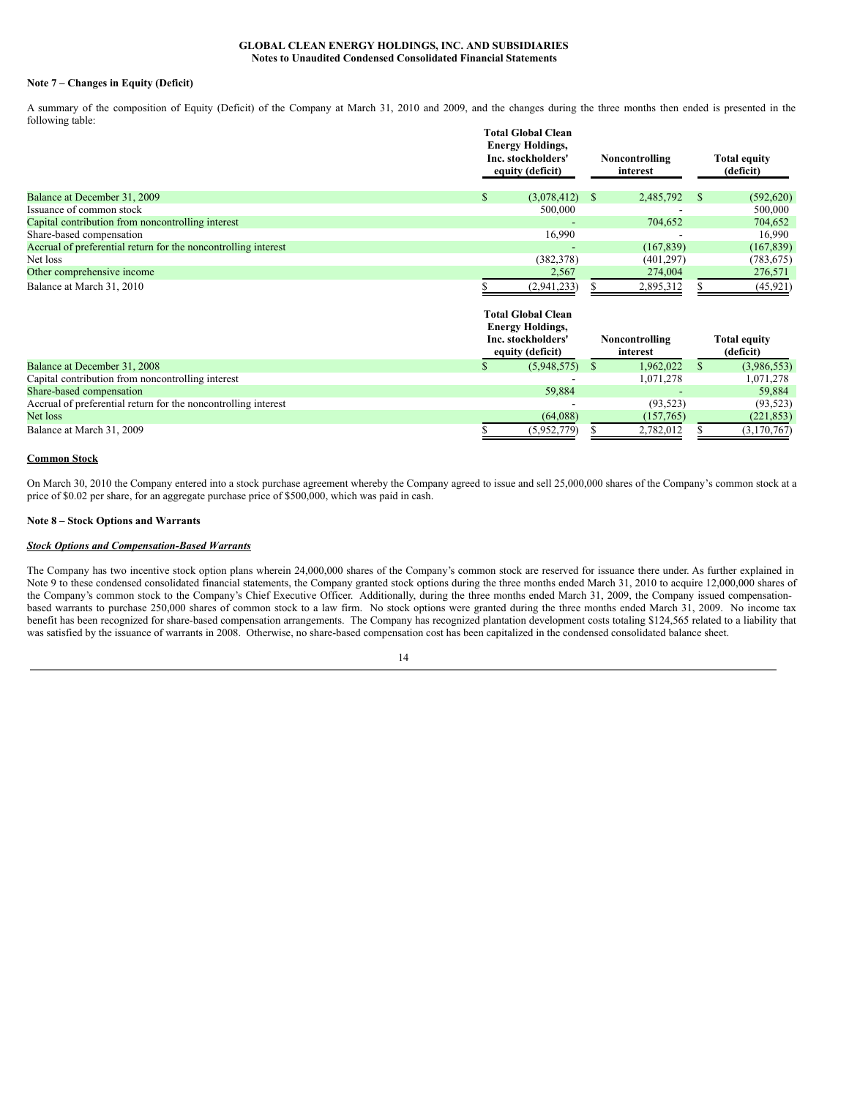### **Note 7 – Changes in Equity (Deficit)**

A summary of the composition of Equity (Deficit) of the Company at March 31, 2010 and 2009, and the changes during the three months then ended is presented in the following table:

|                                                                | <b>Total Global Clean</b><br><b>Energy Holdings,</b><br>Inc. stockholders'<br>equity (deficit) |    | Noncontrolling<br>interest |              | <b>Total equity</b><br>(deficit) |
|----------------------------------------------------------------|------------------------------------------------------------------------------------------------|----|----------------------------|--------------|----------------------------------|
| Balance at December 31, 2009                                   | \$<br>(3,078,412)                                                                              | S. | 2,485,792                  | <sup>8</sup> | (592, 620)                       |
| Issuance of common stock                                       | 500,000                                                                                        |    |                            |              | 500,000                          |
| Capital contribution from noncontrolling interest              |                                                                                                |    | 704,652                    |              | 704,652                          |
| Share-based compensation                                       | 16.990                                                                                         |    |                            |              | 16.990                           |
| Accrual of preferential return for the noncontrolling interest |                                                                                                |    | (167.839)                  |              | (167, 839)                       |
| Net loss                                                       | (382, 378)                                                                                     |    | (401, 297)                 |              | (783, 675)                       |
| Other comprehensive income                                     | 2,567                                                                                          |    | 274,004                    |              | 276,571                          |
| Balance at March 31, 2010                                      | (2,941,233)                                                                                    |    | 2,895,312                  |              | (45, 921)                        |

|                                                                |  | <b>Total Global Clean</b>                                         |                            |                                  |
|----------------------------------------------------------------|--|-------------------------------------------------------------------|----------------------------|----------------------------------|
|                                                                |  | <b>Energy Holdings,</b><br>Inc. stockholders'<br>equity (deficit) | Noncontrolling<br>interest | <b>Total equity</b><br>(deficit) |
| Balance at December 31, 2008                                   |  | (5,948,575)                                                       | 1,962,022                  | (3,986,553)                      |
| Capital contribution from noncontrolling interest              |  |                                                                   | 1,071,278                  | 1,071,278                        |
| Share-based compensation                                       |  | 59.884                                                            |                            | 59.884                           |
| Accrual of preferential return for the noncontrolling interest |  |                                                                   | (93, 523)                  | (93, 523)                        |
| Net loss                                                       |  | (64,088)                                                          | (157,765)                  | (221, 853)                       |
| Balance at March 31, 2009                                      |  | (5,952,779)                                                       | 2.782,012                  | (3,170,767)                      |

### **Common Stock**

On March 30, 2010 the Company entered into a stock purchase agreement whereby the Company agreed to issue and sell 25,000,000 shares of the Company's common stock at a price of \$0.02 per share, for an aggregate purchase price of \$500,000, which was paid in cash.

### **Note 8 – Stock Options and Warrants**

### *Stock Options and Compensation-Based Warrants*

The Company has two incentive stock option plans wherein 24,000,000 shares of the Company's common stock are reserved for issuance there under. As further explained in Note 9 to these condensed consolidated financial statements, the Company granted stock options during the three months ended March 31, 2010 to acquire 12,000,000 shares of the Company's common stock to the Company's Chief Executive Officer. Additionally, during the three months ended March 31, 2009, the Company issued compensationbased warrants to purchase 250,000 shares of common stock to a law firm. No stock options were granted during the three months ended March 31, 2009. No income tax benefit has been recognized for share-based compensation arrangements. The Company has recognized plantation development costs totaling \$124,565 related to a liability that was satisfied by the issuance of warrants in 2008. Otherwise, no share-based compensation cost has been capitalized in the condensed consolidated balance sheet.

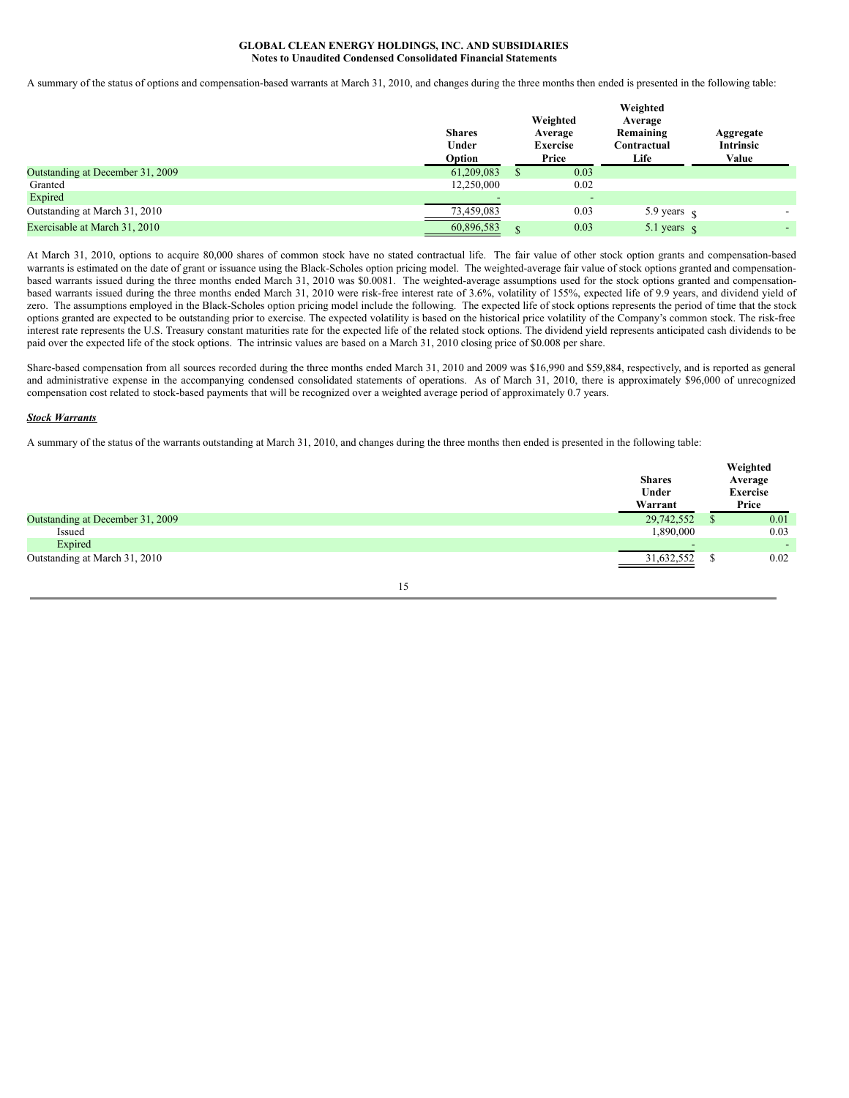A summary of the status of options and compensation-based warrants at March 31, 2010, and changes during the three months then ended is presented in the following table:

**Weighted**

|                                  | <b>Shares</b><br>Under<br>Option | Weighted<br>Average<br>Exercise<br>Price | <i>weighted</i><br>Average<br>Remaining<br>Contractual<br>Life | Aggregate<br><b>Intrinsic</b><br>Value |  |
|----------------------------------|----------------------------------|------------------------------------------|----------------------------------------------------------------|----------------------------------------|--|
| Outstanding at December 31, 2009 | 61,209,083                       | 0.03                                     |                                                                |                                        |  |
| Granted                          | 12,250,000                       | 0.02                                     |                                                                |                                        |  |
| Expired                          |                                  |                                          |                                                                |                                        |  |
| Outstanding at March 31, 2010    | 73,459,083                       | 0.03                                     | 5.9 years $\epsilon$                                           |                                        |  |
| Exercisable at March 31, 2010    | 60,896,583                       | 0.03                                     | 5.1 years $\sigma$                                             |                                        |  |

At March 31, 2010, options to acquire 80,000 shares of common stock have no stated contractual life. The fair value of other stock option grants and compensation-based warrants is estimated on the date of grant or issuance using the Black-Scholes option pricing model. The weighted-average fair value of stock options granted and compensationbased warrants issued during the three months ended March 31, 2010 was \$0.0081. The weighted-average assumptions used for the stock options granted and compensationbased warrants issued during the three months ended March 31, 2010 were risk-free interest rate of 3.6%, volatility of 155%, expected life of 9.9 years, and dividend yield of zero. The assumptions employed in the Black-Scholes option pricing model include the following. The expected life of stock options represents the period of time that the stock options granted are expected to be outstanding prior to exercise. The expected volatility is based on the historical price volatility of the Company's common stock. The risk-free interest rate represents the U.S. Treasury constant maturities rate for the expected life of the related stock options. The dividend yield represents anticipated cash dividends to be paid over the expected life of the stock options. The intrinsic values are based on a March 31, 2010 closing price of \$0.008 per share.

Share-based compensation from all sources recorded during the three months ended March 31, 2010 and 2009 was \$16,990 and \$59,884, respectively, and is reported as general and administrative expense in the accompanying condensed consolidated statements of operations. As of March 31, 2010, there is approximately \$96,000 of unrecognized compensation cost related to stock-based payments that will be recognized over a weighted average period of approximately 0.7 years.

## *Stock Warrants*

A summary of the status of the warrants outstanding at March 31, 2010, and changes during the three months then ended is presented in the following table:

|                                  | <b>Shares</b><br>Under<br>Warrant | Weighted<br>Average<br><b>Exercise</b><br>Price |
|----------------------------------|-----------------------------------|-------------------------------------------------|
| Outstanding at December 31, 2009 | 29,742,552 \$                     | 0.01                                            |
| Issued                           | 1,890,000                         | 0.03                                            |
| Expired                          |                                   | $\sim$                                          |
| Outstanding at March 31, 2010    | 31,632,552                        | 0.02                                            |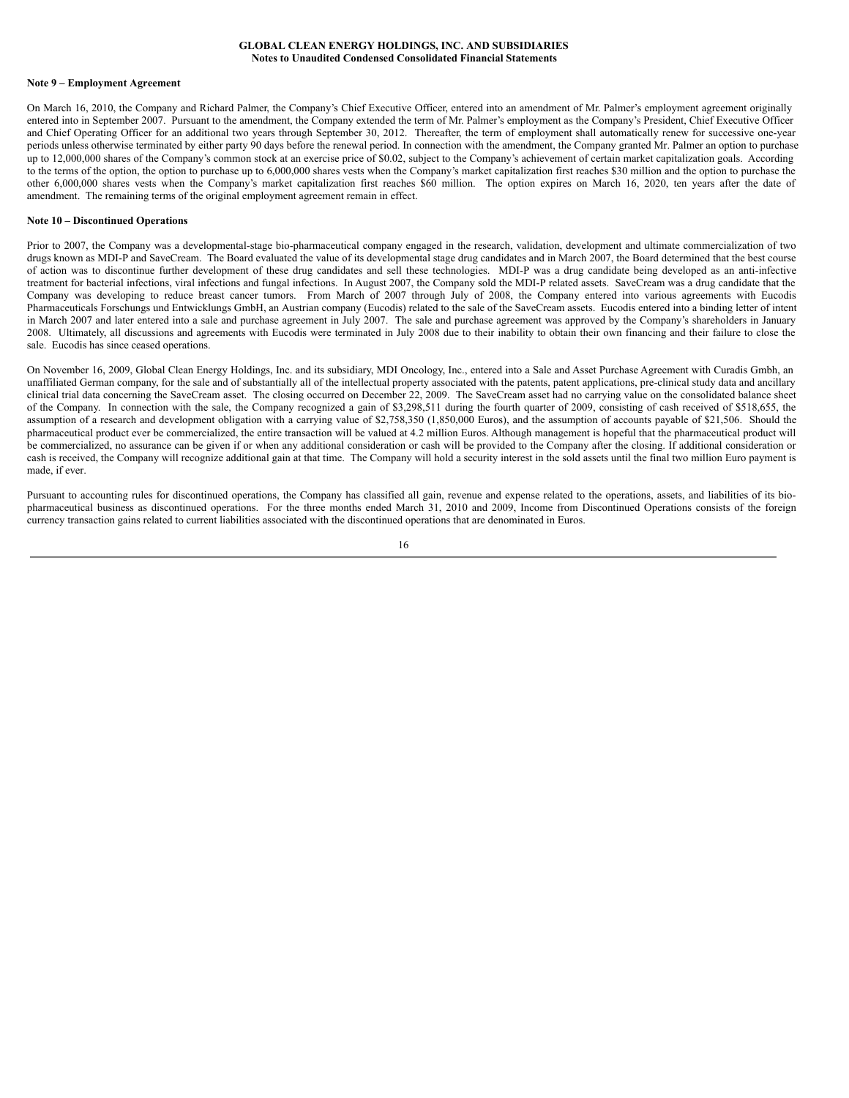### **Note 9 – Employment Agreement**

On March 16, 2010, the Company and Richard Palmer, the Company's Chief Executive Officer, entered into an amendment of Mr. Palmer's employment agreement originally entered into in September 2007. Pursuant to the amendment, the Company extended the term of Mr. Palmer's employment as the Company's President, Chief Executive Officer and Chief Operating Officer for an additional two years through September 30, 2012. Thereafter, the term of employment shall automatically renew for successive one-year periods unless otherwise terminated by either party 90 days before the renewal period. In connection with the amendment, the Company granted Mr. Palmer an option to purchase up to 12,000,000 shares of the Company's common stock at an exercise price of \$0.02, subject to the Company's achievement of certain market capitalization goals. According to the terms of the option, the option to purchase up to 6,000,000 shares vests when the Company's market capitalization first reaches \$30 million and the option to purchase the other 6,000,000 shares vests when the Company's market capitalization first reaches \$60 million. The option expires on March 16, 2020, ten years after the date of amendment. The remaining terms of the original employment agreement remain in effect.

### **Note 10 – Discontinued Operations**

Prior to 2007, the Company was a developmental-stage bio-pharmaceutical company engaged in the research, validation, development and ultimate commercialization of two drugs known as MDI-P and SaveCream. The Board evaluated the value of its developmental stage drug candidates and in March 2007, the Board determined that the best course of action was to discontinue further development of these drug candidates and sell these technologies. MDI-P was a drug candidate being developed as an anti-infective treatment for bacterial infections, viral infections and fungal infections. In August 2007, the Company sold the MDI-P related assets. SaveCream was a drug candidate that the Company was developing to reduce breast cancer tumors. From March of 2007 through July of 2008, the Company entered into various agreements with Eucodis Pharmaceuticals Forschungs und Entwicklungs GmbH, an Austrian company (Eucodis) related to the sale of the SaveCream assets. Eucodis entered into a binding letter of intent in March 2007 and later entered into a sale and purchase agreement in July 2007. The sale and purchase agreement was approved by the Company's shareholders in January 2008. Ultimately, all discussions and agreements with Eucodis were terminated in July 2008 due to their inability to obtain their own financing and their failure to close the sale. Eucodis has since ceased operations.

On November 16, 2009, Global Clean Energy Holdings, Inc. and its subsidiary, MDI Oncology, Inc., entered into a Sale and Asset Purchase Agreement with Curadis Gmbh, an unaffiliated German company, for the sale and of substantially all of the intellectual property associated with the patents, patent applications, pre-clinical study data and ancillary clinical trial data concerning the SaveCream asset. The closing occurred on December 22, 2009. The SaveCream asset had no carrying value on the consolidated balance sheet of the Company. In connection with the sale, the Company recognized a gain of \$3,298,511 during the fourth quarter of 2009, consisting of cash received of \$518,655, the assumption of a research and development obligation with a carrying value of \$2,758,350 (1,850,000 Euros), and the assumption of accounts payable of \$21,506. Should the pharmaceutical product ever be commercialized, the entire transaction will be valued at 4.2 million Euros. Although management is hopeful that the pharmaceutical product will be commercialized, no assurance can be given if or when any additional consideration or cash will be provided to the Company after the closing. If additional consideration or cash is received, the Company will recognize additional gain at that time. The Company will hold a security interest in the sold assets until the final two million Euro payment is made, if ever.

Pursuant to accounting rules for discontinued operations, the Company has classified all gain, revenue and expense related to the operations, assets, and liabilities of its biopharmaceutical business as discontinued operations. For the three months ended March 31, 2010 and 2009, Income from Discontinued Operations consists of the foreign currency transaction gains related to current liabilities associated with the discontinued operations that are denominated in Euros.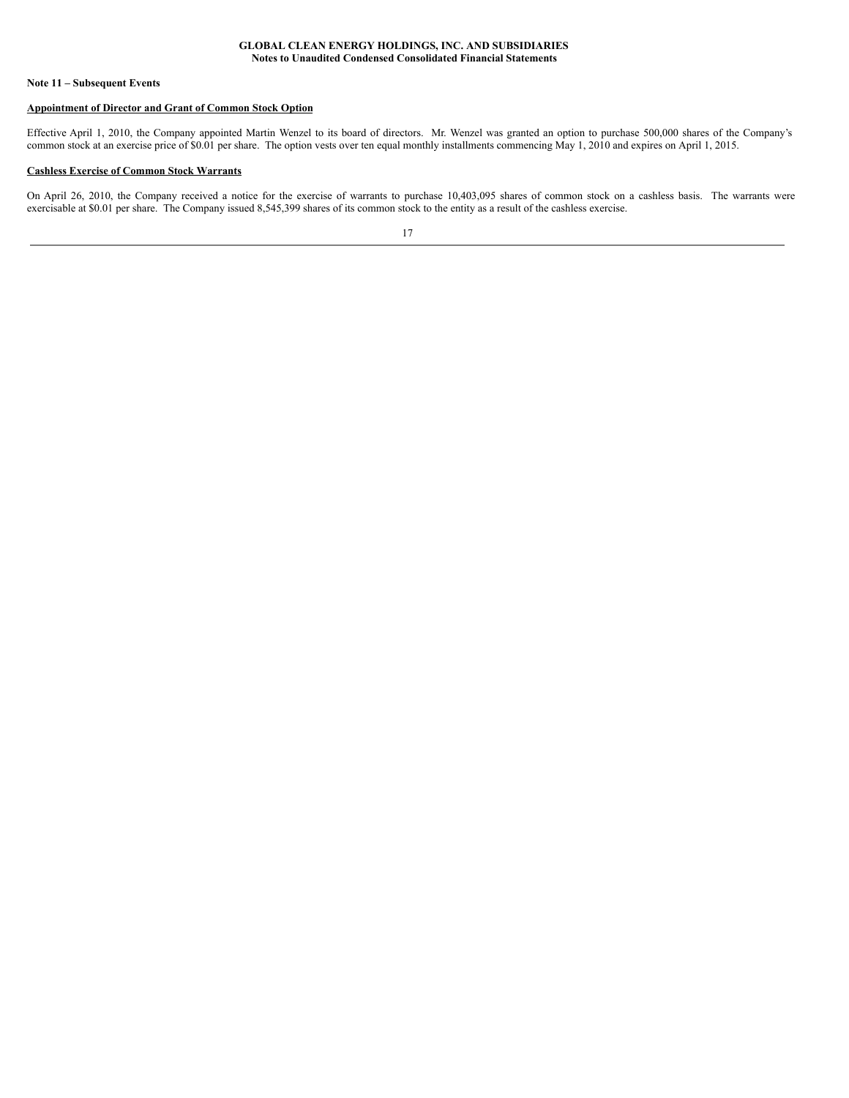### **Note 11 – Subsequent Events**

### **Appointment of Director and Grant of Common Stock Option**

Effective April 1, 2010, the Company appointed Martin Wenzel to its board of directors. Mr. Wenzel was granted an option to purchase 500,000 shares of the Company's common stock at an exercise price of \$0.01 per share. The option vests over ten equal monthly installments commencing May 1, 2010 and expires on April 1, 2015.

### **Cashless Exercise of Common Stock Warrants**

On April 26, 2010, the Company received a notice for the exercise of warrants to purchase 10,403,095 shares of common stock on a cashless basis. The warrants were exercisable at \$0.01 per share. The Company issued 8,545,399 shares of its common stock to the entity as a result of the cashless exercise.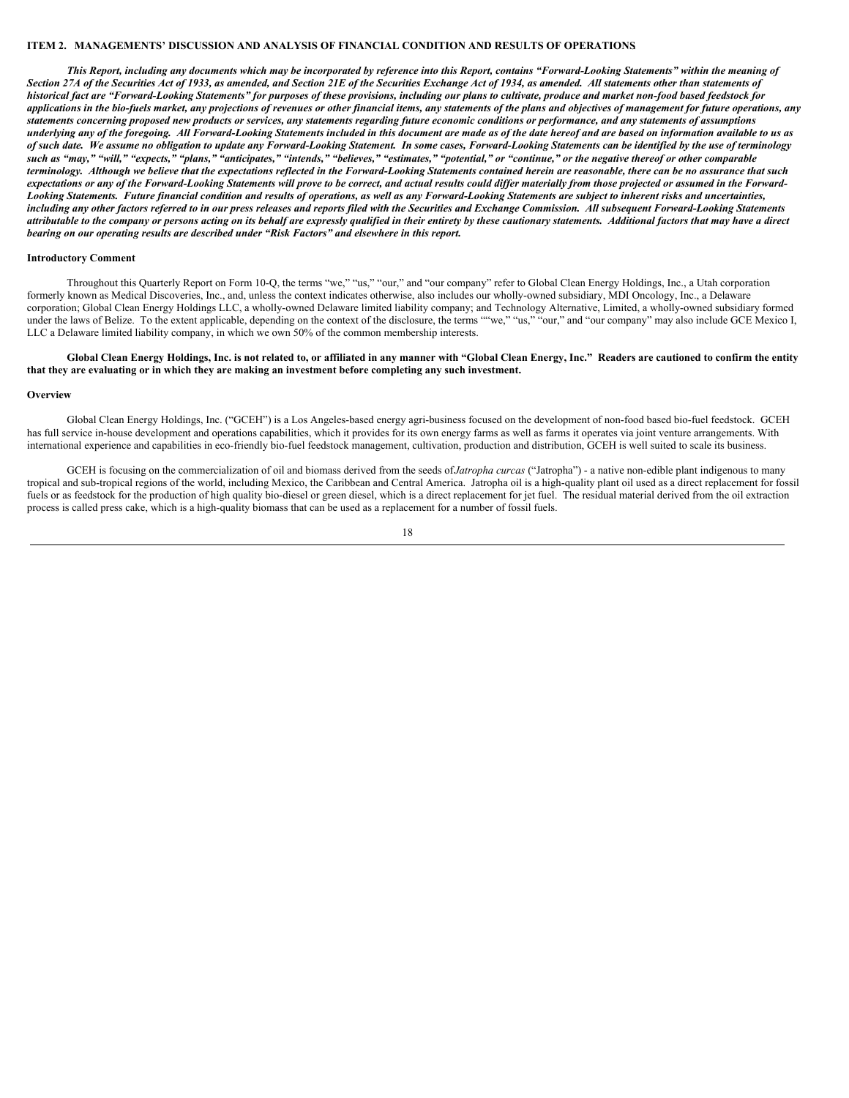### **ITEM 2. MANAGEMENTS' DISCUSSION AND ANALYSIS OF FINANCIAL CONDITION AND RESULTS OF OPERATIONS**.

This Report, including any documents which may be incorporated by reference into this Report, contains "Forward-Looking Statements" within the meaning of Section 27A of the Securities Act of 1933, as amended, and Section 21E of the Securities Exchange Act of 1934, as amended. All statements other than statements of historical fact are "Forward-Looking Statements" for purposes of these provisions, including our plans to cultivate, produce and market non-food based feedstock for applications in the bio-fuels market, any projections of revenues or other financial items, any statements of the plans and objectives of management for future operations, any statements concerning proposed new products or services, any statements regarding future economic conditions or performance, and any statements of assumptions underlying any of the foregoing. All Forward-Looking Statements included in this document are made as of the date hereof and are based on information available to us as of such date. We assume no obligation to update any Forward-Looking Statement. In some cases, Forward-Looking Statements can be identified by the use of terminology such as "may," "will," "expects," "plans," "anticipates," "intends," "believes," "estimates," "potential," or "continue," or the negative thereof or other comparable terminology. Although we believe that the expectations reflected in the Forward-Looking Statements contained herein are reasonable, there can be no assurance that such expectations or any of the Forward-Looking Statements will prove to be correct, and actual results could differ materially from those projected or assumed in the Forward-Looking Statements. Future financial condition and results of operations, as well as any Forward-Looking Statements are subject to inherent risks and uncertainties, including any other factors referred to in our press releases and reports filed with the Securities and Exchange Commission. All subsequent Forward-Looking Statements attributable to the company or persons acting on its behalf are expressly qualified in their entirety by these cautionary statements. Additional factors that may have a direct *bearing on our operating results are described under "Risk Factors" and elsewhere in this report.*

### **Introductory Comment**

Throughout this Quarterly Report on Form 10-Q, the terms "we," "us," "our," and "our company" refer to Global Clean Energy Holdings, Inc., a Utah corporation formerly known as Medical Discoveries, Inc., and, unless the context indicates otherwise, also includes our wholly-owned subsidiary, MDI Oncology, Inc., a Delaware corporation; Global Clean Energy Holdings LLC, a wholly-owned Delaware limited liability company; and Technology Alternative, Limited, a wholly-owned subsidiary formed under the laws of Belize. To the extent applicable, depending on the context of the disclosure, the terms ""we," "us," "our," and "our company" may also include GCE Mexico I, LLC a Delaware limited liability company, in which we own 50% of the common membership interests.

### Global Clean Energy Holdings, Inc. is not related to, or affiliated in any manner with "Global Clean Energy, Inc." Readers are cautioned to confirm the entity **that they are evaluating or in which they are making an investment before completing any such investment.**

#### **Overview**

Global Clean Energy Holdings, Inc. ("GCEH") is a Los Angeles-based energy agri-business focused on the development of non-food based bio-fuel feedstock. GCEH has full service in-house development and operations capabilities, which it provides for its own energy farms as well as farms it operates via joint venture arrangements. With international experience and capabilities in eco-friendly bio-fuel feedstock management, cultivation, production and distribution, GCEH is well suited to scale its business.

GCEH is focusing on the commercialization of oil and biomass derived from the seeds of*Jatropha curcas* ("Jatropha") - a native non-edible plant indigenous to many tropical and sub-tropical regions of the world, including Mexico, the Caribbean and Central America. Jatropha oil is a high-quality plant oil used as a direct replacement for fossil fuels or as feedstock for the production of high quality bio-diesel or green diesel, which is a direct replacement for jet fuel. The residual material derived from the oil extraction process is called press cake, which is a high-quality biomass that can be used as a replacement for a number of fossil fuels.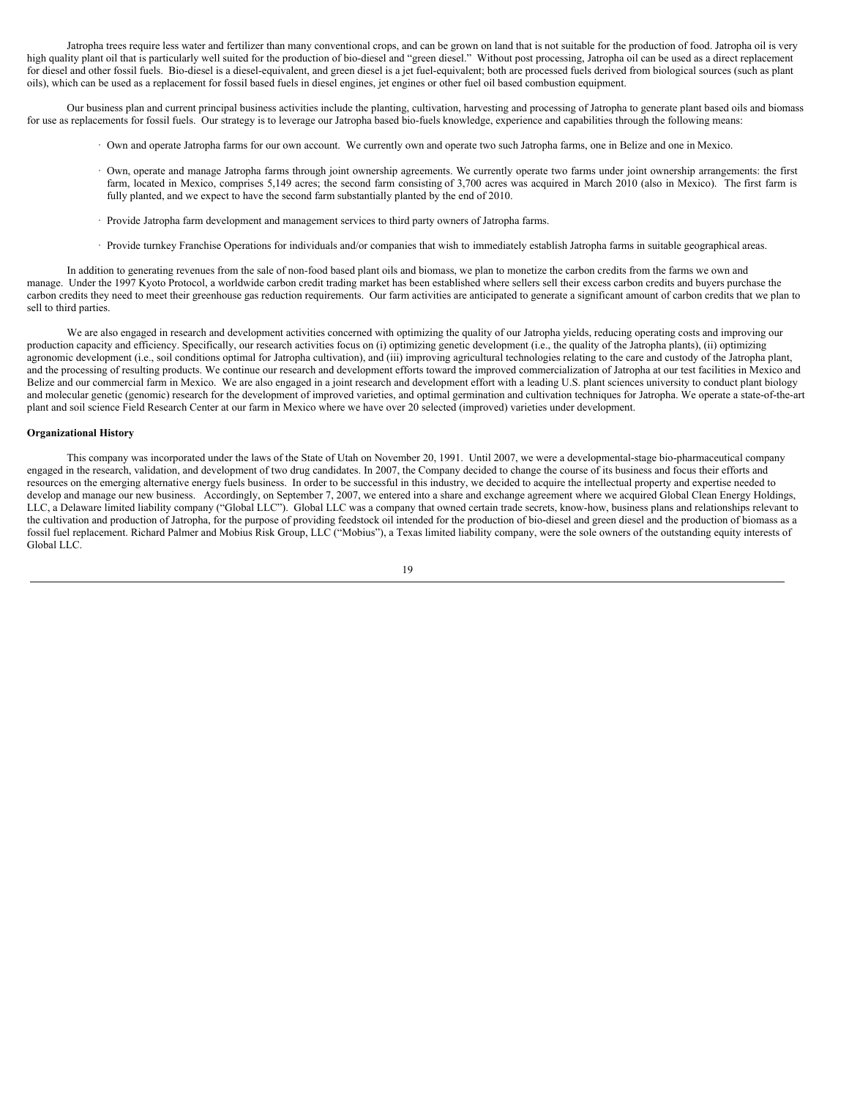Jatropha trees require less water and fertilizer than many conventional crops, and can be grown on land that is not suitable for the production of food. Jatropha oil is very high quality plant oil that is particularly well suited for the production of bio-diesel and "green diesel." Without post processing, Jatropha oil can be used as a direct replacement for diesel and other fossil fuels. Bio-diesel is a diesel-equivalent, and green diesel is a jet fuel-equivalent; both are processed fuels derived from biological sources (such as plant oils), which can be used as a replacement for fossil based fuels in diesel engines, jet engines or other fuel oil based combustion equipment.

Our business plan and current principal business activities include the planting, cultivation, harvesting and processing of Jatropha to generate plant based oils and biomass for use as replacements for fossil fuels. Our strategy is to leverage our Jatropha based bio-fuels knowledge, experience and capabilities through the following means:

- · Own and operate Jatropha farms for our own account. We currently own and operate two such Jatropha farms, one in Belize and one in Mexico.
- · Own, operate and manage Jatropha farms through joint ownership agreements. We currently operate two farms under joint ownership arrangements: the first farm, located in Mexico, comprises 5,149 acres; the second farm consisting of 3,700 acres was acquired in March 2010 (also in Mexico). The first farm is fully planted, and we expect to have the second farm substantially planted by the end of 2010.
- · Provide Jatropha farm development and management services to third party owners of Jatropha farms.
- · Provide turnkey Franchise Operations for individuals and/or companies that wish to immediately establish Jatropha farms in suitable geographical areas.

In addition to generating revenues from the sale of non-food based plant oils and biomass, we plan to monetize the carbon credits from the farms we own and manage. Under the 1997 Kyoto Protocol, a worldwide carbon credit trading market has been established where sellers sell their excess carbon credits and buyers purchase the carbon credits they need to meet their greenhouse gas reduction requirements. Our farm activities are anticipated to generate a significant amount of carbon credits that we plan to sell to third parties.

We are also engaged in research and development activities concerned with optimizing the quality of our Jatropha yields, reducing operating costs and improving our production capacity and efficiency. Specifically, our research activities focus on (i) optimizing genetic development (i.e., the quality of the Jatropha plants), (ii) optimizing agronomic development (i.e., soil conditions optimal for Jatropha cultivation), and (iii) improving agricultural technologies relating to the care and custody of the Jatropha plant, and the processing of resulting products. We continue our research and development efforts toward the improved commercialization of Jatropha at our test facilities in Mexico and Belize and our commercial farm in Mexico. We are also engaged in a joint research and development effort with a leading U.S. plant sciences university to conduct plant biology and molecular genetic (genomic) research for the development of improved varieties, and optimal germination and cultivation techniques for Jatropha. We operate a state-of-the-art plant and soil science Field Research Center at our farm in Mexico where we have over 20 selected (improved) varieties under development.

#### **Organizational History**

This company was incorporated under the laws of the State of Utah on November 20, 1991. Until 2007, we were a developmental-stage bio-pharmaceutical company engaged in the research, validation, and development of two drug candidates. In 2007, the Company decided to change the course of its business and focus their efforts and resources on the emerging alternative energy fuels business. In order to be successful in this industry, we decided to acquire the intellectual property and expertise needed to develop and manage our new business. Accordingly, on September 7, 2007, we entered into a share and exchange agreement where we acquired Global Clean Energy Holdings, LLC, a Delaware limited liability company ("Global LLC"). Global LLC was a company that owned certain trade secrets, know-how, business plans and relationships relevant to the cultivation and production of Jatropha, for the purpose of providing feedstock oil intended for the production of bio-diesel and green diesel and the production of biomass as a fossil fuel replacement. Richard Palmer and Mobius Risk Group, LLC ("Mobius"), a Texas limited liability company, were the sole owners of the outstanding equity interests of Global LLC.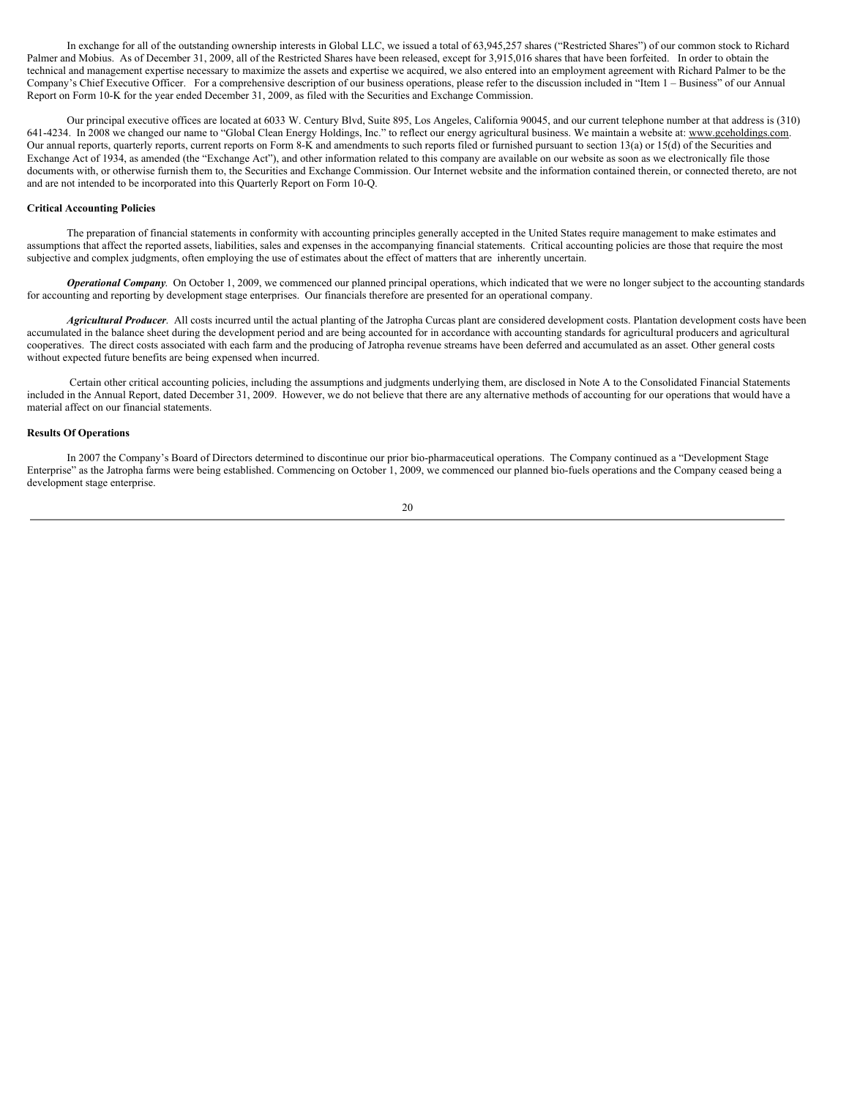In exchange for all of the outstanding ownership interests in Global LLC, we issued a total of 63,945,257 shares ("Restricted Shares") of our common stock to Richard Palmer and Mobius. As of December 31, 2009, all of the Restricted Shares have been released, except for 3,915,016 shares that have been forfeited. In order to obtain the technical and management expertise necessary to maximize the assets and expertise we acquired, we also entered into an employment agreement with Richard Palmer to be the Company's Chief Executive Officer. For a comprehensive description of our business operations, please refer to the discussion included in "Item 1 – Business" of our Annual Report on Form 10-K for the year ended December 31, 2009, as filed with the Securities and Exchange Commission.

Our principal executive offices are located at 6033 W. Century Blvd, Suite 895, Los Angeles, California 90045, and our current telephone number at that address is (310) 641-4234. In 2008 we changed our name to "Global Clean Energy Holdings, Inc." to reflect our energy agricultural business. We maintain a website at: www.gceholdings.com. Our annual reports, quarterly reports, current reports on Form 8-K and amendments to such reports filed or furnished pursuant to section 13(a) or 15(d) of the Securities and Exchange Act of 1934, as amended (the "Exchange Act"), and other information related to this company are available on our website as soon as we electronically file those documents with, or otherwise furnish them to, the Securities and Exchange Commission. Our Internet website and the information contained therein, or connected thereto, are not and are not intended to be incorporated into this Quarterly Report on Form 10-Q.

## **Critical Accounting Policies**

The preparation of financial statements in conformity with accounting principles generally accepted in the United States require management to make estimates and assumptions that affect the reported assets, liabilities, sales and expenses in the accompanying financial statements. Critical accounting policies are those that require the most subjective and complex judgments, often employing the use of estimates about the effect of matters that are inherently uncertain.

*Operational Company*. On October 1, 2009, we commenced our planned principal operations, which indicated that we were no longer subject to the accounting standards for accounting and reporting by development stage enterprises. Our financials therefore are presented for an operational company.

*Agricultural Producer*. All costs incurred until the actual planting of the Jatropha Curcas plant are considered development costs. Plantation development costs have been accumulated in the balance sheet during the development period and are being accounted for in accordance with accounting standards for agricultural producers and agricultural cooperatives. The direct costs associated with each farm and the producing of Jatropha revenue streams have been deferred and accumulated as an asset. Other general costs without expected future benefits are being expensed when incurred.

Certain other critical accounting policies, including the assumptions and judgments underlying them, are disclosed in Note A to the Consolidated Financial Statements included in the Annual Report, dated December 31, 2009. However, we do not believe that there are any alternative methods of accounting for our operations that would have a material affect on our financial statements.

## **Results Of Operations**

In 2007 the Company's Board of Directors determined to discontinue our prior bio-pharmaceutical operations. The Company continued as a "Development Stage Enterprise" as the Jatropha farms were being established. Commencing on October 1, 2009, we commenced our planned bio-fuels operations and the Company ceased being a development stage enterprise.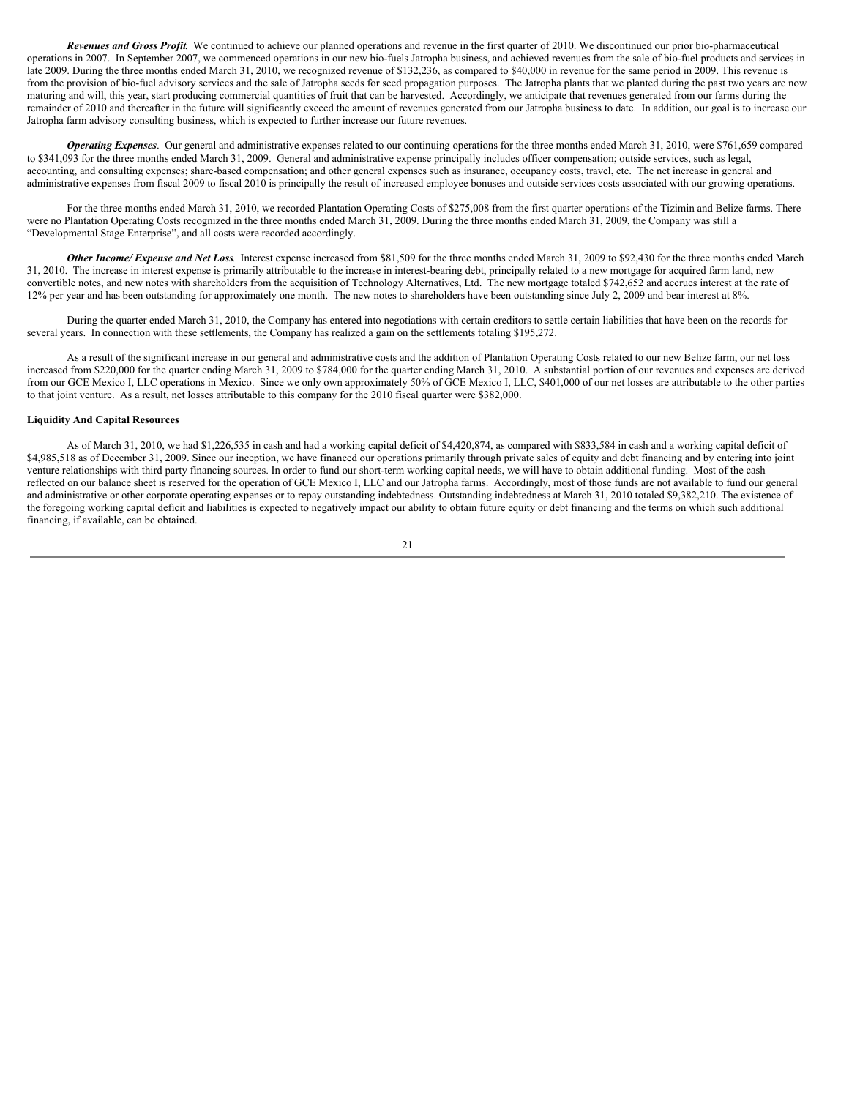*Revenues and Gross Profit*. We continued to achieve our planned operations and revenue in the first quarter of 2010. We discontinued our prior bio-pharmaceutical operations in 2007. In September 2007, we commenced operations in our new bio-fuels Jatropha business, and achieved revenues from the sale of bio-fuel products and services in late 2009. During the three months ended March 31, 2010, we recognized revenue of \$132,236, as compared to \$40,000 in revenue for the same period in 2009. This revenue is from the provision of bio-fuel advisory services and the sale of Jatropha seeds for seed propagation purposes. The Jatropha plants that we planted during the past two years are now maturing and will, this year, start producing commercial quantities of fruit that can be harvested. Accordingly, we anticipate that revenues generated from our farms during the remainder of 2010 and thereafter in the future will significantly exceed the amount of revenues generated from our Jatropha business to date. In addition, our goal is to increase our Jatropha farm advisory consulting business, which is expected to further increase our future revenues.

*Operating Expenses*. Our general and administrative expenses related to our continuing operations for the three months ended March 31, 2010, were \$761,659 compared to \$341,093 for the three months ended March 31, 2009. General and administrative expense principally includes officer compensation; outside services, such as legal, accounting, and consulting expenses; share-based compensation; and other general expenses such as insurance, occupancy costs, travel, etc. The net increase in general and administrative expenses from fiscal 2009 to fiscal 2010 is principally the result of increased employee bonuses and outside services costs associated with our growing operations.

For the three months ended March 31, 2010, we recorded Plantation Operating Costs of \$275,008 from the first quarter operations of the Tizimin and Belize farms. There were no Plantation Operating Costs recognized in the three months ended March 31, 2009. During the three months ended March 31, 2009, the Company was still a "Developmental Stage Enterprise", and all costs were recorded accordingly.

*Other Income/ Expense and Net Loss*. Interest expense increased from \$81,509 for the three months ended March 31, 2009 to \$92,430 for the three months ended March 31, 2010. The increase in interest expense is primarily attributable to the increase in interest-bearing debt, principally related to a new mortgage for acquired farm land, new convertible notes, and new notes with shareholders from the acquisition of Technology Alternatives, Ltd. The new mortgage totaled \$742,652 and accrues interest at the rate of 12% per year and has been outstanding for approximately one month. The new notes to shareholders have been outstanding since July 2, 2009 and bear interest at 8%.

During the quarter ended March 31, 2010, the Company has entered into negotiations with certain creditors to settle certain liabilities that have been on the records for several years. In connection with these settlements, the Company has realized a gain on the settlements totaling \$195,272.

As a result of the significant increase in our general and administrative costs and the addition of Plantation Operating Costs related to our new Belize farm, our net loss increased from \$220,000 for the quarter ending March 31, 2009 to \$784,000 for the quarter ending March 31, 2010. A substantial portion of our revenues and expenses are derived from our GCE Mexico I, LLC operations in Mexico. Since we only own approximately 50% of GCE Mexico I, LLC, \$401,000 of our net losses are attributable to the other parties to that joint venture. As a result, net losses attributable to this company for the 2010 fiscal quarter were \$382,000.

## **Liquidity And Capital Resources**

As of March 31, 2010, we had \$1,226,535 in cash and had a working capital deficit of \$4,420,874, as compared with \$833,584 in cash and a working capital deficit of \$4,985,518 as of December 31, 2009. Since our inception, we have financed our operations primarily through private sales of equity and debt financing and by entering into joint venture relationships with third party financing sources. In order to fund our short-term working capital needs, we will have to obtain additional funding. Most of the cash reflected on our balance sheet is reserved for the operation of GCE Mexico I, LLC and our Jatropha farms. Accordingly, most of those funds are not available to fund our general and administrative or other corporate operating expenses or to repay outstanding indebtedness. Outstanding indebtedness at March 31, 2010 totaled \$9,382,210. The existence of the foregoing working capital deficit and liabilities is expected to negatively impact our ability to obtain future equity or debt financing and the terms on which such additional financing, if available, can be obtained.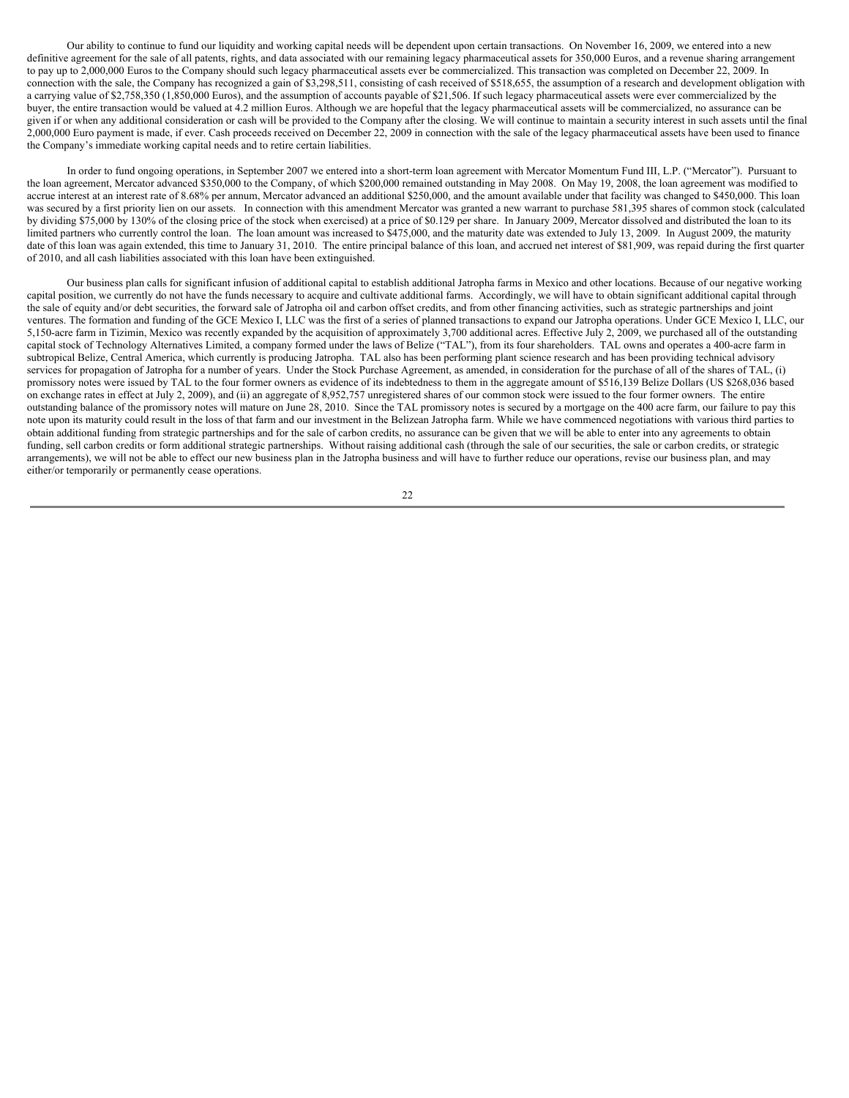Our ability to continue to fund our liquidity and working capital needs will be dependent upon certain transactions. On November 16, 2009, we entered into a new definitive agreement for the sale of all patents, rights, and data associated with our remaining legacy pharmaceutical assets for 350,000 Euros, and a revenue sharing arrangement to pay up to 2,000,000 Euros to the Company should such legacy pharmaceutical assets ever be commercialized. This transaction was completed on December 22, 2009. In connection with the sale, the Company has recognized a gain of \$3,298,511, consisting of cash received of \$518,655, the assumption of a research and development obligation with a carrying value of \$2,758,350 (1,850,000 Euros), and the assumption of accounts payable of \$21,506. If such legacy pharmaceutical assets were ever commercialized by the buyer, the entire transaction would be valued at 4.2 million Euros. Although we are hopeful that the legacy pharmaceutical assets will be commercialized, no assurance can be given if or when any additional consideration or cash will be provided to the Company after the closing. We will continue to maintain a security interest in such assets until the final 2,000,000 Euro payment is made, if ever. Cash proceeds received on December 22, 2009 in connection with the sale of the legacy pharmaceutical assets have been used to finance the Company's immediate working capital needs and to retire certain liabilities.

In order to fund ongoing operations, in September 2007 we entered into a short-term loan agreement with Mercator Momentum Fund III, L.P. ("Mercator"). Pursuant to the loan agreement, Mercator advanced \$350,000 to the Company, of which \$200,000 remained outstanding in May 2008. On May 19, 2008, the loan agreement was modified to accrue interest at an interest rate of 8.68% per annum, Mercator advanced an additional \$250,000, and the amount available under that facility was changed to \$450,000. This loan was secured by a first priority lien on our assets. In connection with this amendment Mercator was granted a new warrant to purchase 581,395 shares of common stock (calculated by dividing \$75,000 by 130% of the closing price of the stock when exercised) at a price of \$0.129 per share. In January 2009, Mercator dissolved and distributed the loan to its limited partners who currently control the loan. The loan amount was increased to \$475,000, and the maturity date was extended to July 13, 2009. In August 2009, the maturity date of this loan was again extended, this time to January 31, 2010. The entire principal balance of this loan, and accrued net interest of \$81,909, was repaid during the first quarter of 2010, and all cash liabilities associated with this loan have been extinguished.

Our business plan calls for significant infusion of additional capital to establish additional Jatropha farms in Mexico and other locations. Because of our negative working capital position, we currently do not have the funds necessary to acquire and cultivate additional farms. Accordingly, we will have to obtain significant additional capital through the sale of equity and/or debt securities, the forward sale of Jatropha oil and carbon offset credits, and from other financing activities, such as strategic partnerships and joint ventures. The formation and funding of the GCE Mexico I, LLC was the first of a series of planned transactions to expand our Jatropha operations. Under GCE Mexico I, LLC, our 5,150-acre farm in Tizimin, Mexico was recently expanded by the acquisition of approximately 3,700 additional acres. Effective July 2, 2009, we purchased all of the outstanding capital stock of Technology Alternatives Limited, a company formed under the laws of Belize ("TAL"), from its four shareholders. TAL owns and operates a 400-acre farm in subtropical Belize, Central America, which currently is producing Jatropha. TAL also has been performing plant science research and has been providing technical advisory services for propagation of Jatropha for a number of years. Under the Stock Purchase Agreement, as amended, in consideration for the purchase of all of the shares of TAL, (i) promissory notes were issued by TAL to the four former owners as evidence of its indebtedness to them in the aggregate amount of \$516,139 Belize Dollars (US \$268,036 based on exchange rates in effect at July 2, 2009), and (ii) an aggregate of 8,952,757 unregistered shares of our common stock were issued to the four former owners. The entire outstanding balance of the promissory notes will mature on June 28, 2010. Since the TAL promissory notes is secured by a mortgage on the 400 acre farm, our failure to pay this note upon its maturity could result in the loss of that farm and our investment in the Belizean Jatropha farm. While we have commenced negotiations with various third parties to obtain additional funding from strategic partnerships and for the sale of carbon credits, no assurance can be given that we will be able to enter into any agreements to obtain funding, sell carbon credits or form additional strategic partnerships. Without raising additional cash (through the sale of our securities, the sale or carbon credits, or strategic arrangements), we will not be able to effect our new business plan in the Jatropha business and will have to further reduce our operations, revise our business plan, and may either/or temporarily or permanently cease operations.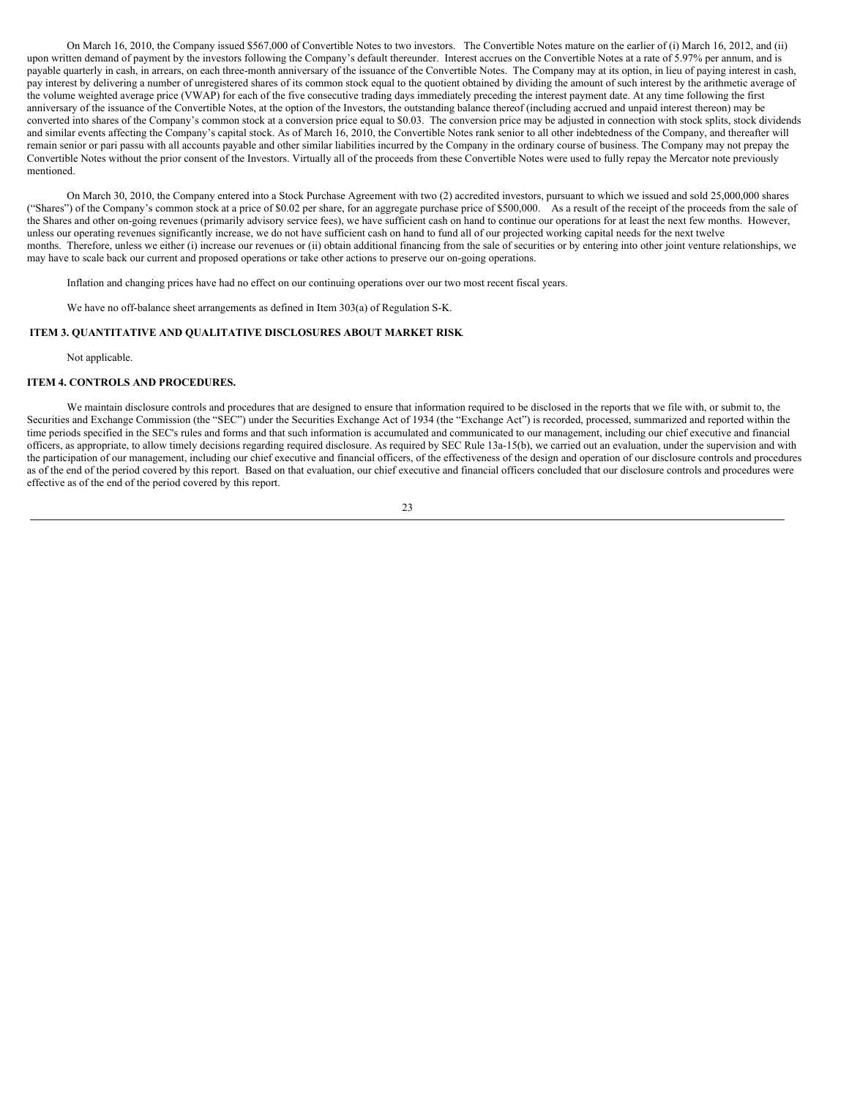On March 16, 2010, the Company issued \$567,000 of Convertible Notes to two investors. The Convertible Notes mature on the earlier of (i) March 16, 2012, and (ii) upon written demand of payment by the investors following the Company's default thereunder. Interest accrues on the Convertible Notes at a rate of 5.97% per annum, and is payable quarterly in cash, in arrears, on each three-month anniversary of the issuance of the Convertible Notes. The Company may at its option, in lieu of paying interest in cash, pay interest by delivering a number of unregistered shares of its common stock equal to the quotient obtained by dividing the amount of such interest by the arithmetic average of the volume weighted average price (VWAP) for each of the five consecutive trading days immediately preceding the interest payment date. At any time following the first anniversary of the issuance of the Convertible Notes, at the option of the Investors, the outstanding balance thereof (including accrued and unpaid interest thereon) may be converted into shares of the Company's common stock at a conversion price equal to \$0.03. The conversion price may be adjusted in connection with stock splits, stock dividends and similar events affecting the Company's capital stock. As of March 16, 2010, the Convertible Notes rank senior to all other indebtedness of the Company, and thereafter will remain senior or pari passu with all accounts payable and other similar liabilities incurred by the Company in the ordinary course of business. The Company may not prepay the Convertible Notes without the prior consent of the Investors. Virtually all of the proceeds from these Convertible Notes were used to fully repay the Mercator note previously mentioned.

On March 30, 2010, the Company entered into a Stock Purchase Agreement with two (2) accredited investors, pursuant to which we issued and sold 25,000,000 shares ("Shares") of the Company's common stock at a price of \$0.02 per share, for an aggregate purchase price of \$500,000. As a result of the receipt of the proceeds from the sale of the Shares and other on-going revenues (primarily advisory service fees), we have sufficient cash on hand to continue our operations for at least the next few months. However, unless our operating revenues significantly increase, we do not have sufficient cash on hand to fund all of our projected working capital needs for the next twelve months. Therefore, unless we either (i) increase our revenues or (ii) obtain additional financing from the sale of securities or by entering into other joint venture relationships, we may have to scale back our current and proposed operations or take other actions to preserve our on-going operations.

Inflation and changing prices have had no effect on our continuing operations over our two most recent fiscal years.

We have no off-balance sheet arrangements as defined in Item 303(a) of Regulation S-K.

### **ITEM 3. QUANTITATIVE AND QUALITATIVE DISCLOSURES ABOUT MARKET RISK**.

### Not applicable.

#### **ITEM 4. CONTROLS AND PROCEDURES.**

We maintain disclosure controls and procedures that are designed to ensure that information required to be disclosed in the reports that we file with, or submit to, the Securities and Exchange Commission (the "SEC") under the Securities Exchange Act of 1934 (the "Exchange Act") is recorded, processed, summarized and reported within the time periods specified in the SEC's rules and forms and that such information is accumulated and communicated to our management, including our chief executive and financial officers, as appropriate, to allow timely decisions regarding required disclosure. As required by SEC Rule 13a-15(b), we carried out an evaluation, under the supervision and with the participation of our management, including our chief executive and financial officers, of the effectiveness of the design and operation of our disclosure controls and procedures as of the end of the period covered by this report. Based on that evaluation, our chief executive and financial officers concluded that our disclosure controls and procedures were effective as of the end of the period covered by this report.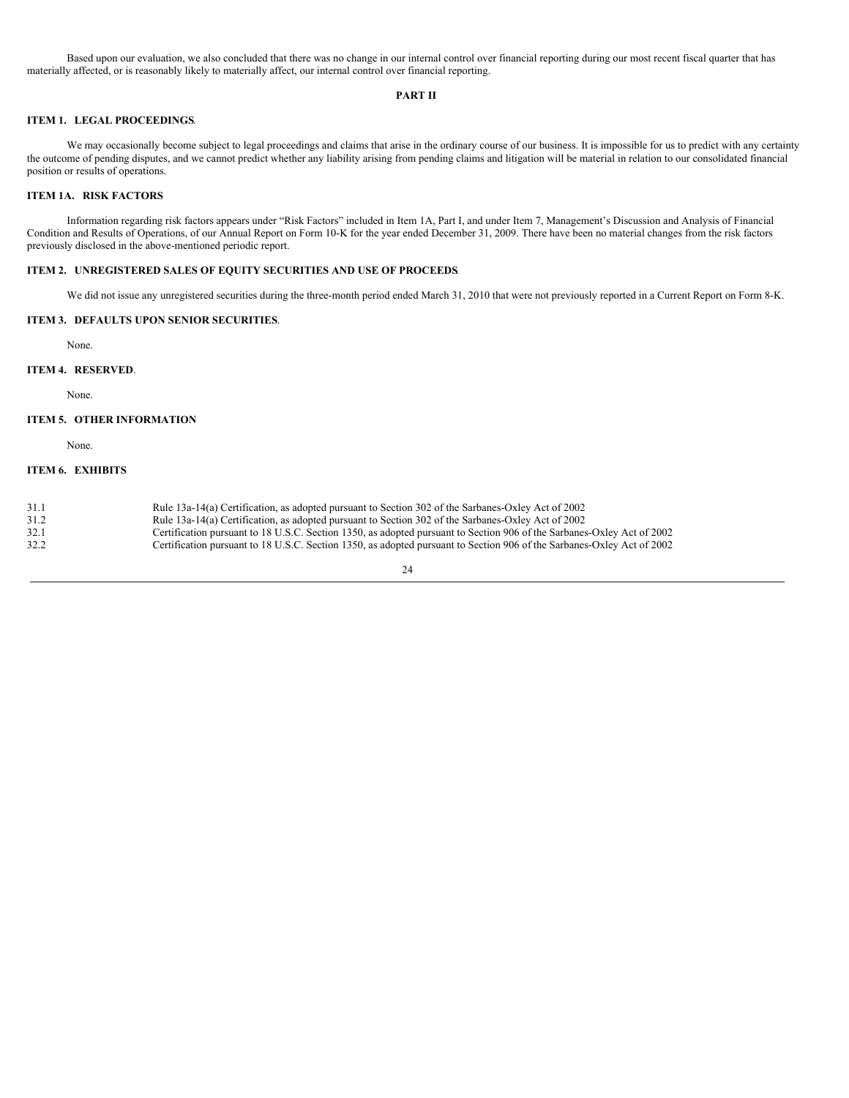Based upon our evaluation, we also concluded that there was no change in our internal control over financial reporting during our most recent fiscal quarter that has materially affected, or is reasonably likely to materially affect, our internal control over financial reporting.

## **PART II**

## **ITEM 1. LEGAL PROCEEDINGS**.

We may occasionally become subject to legal proceedings and claims that arise in the ordinary course of our business. It is impossible for us to predict with any certainty the outcome of pending disputes, and we cannot predict whether any liability arising from pending claims and litigation will be material in relation to our consolidated financial position or results of operations.

### **ITEM 1A. RISK FACTORS**

Information regarding risk factors appears under "Risk Factors" included in Item 1A, Part I, and under Item 7, Management's Discussion and Analysis of Financial Condition and Results of Operations, of our Annual Report on Form 10-K for the year ended December 31, 2009. There have been no material changes from the risk factors previously disclosed in the above-mentioned periodic report.

## **ITEM 2. UNREGISTERED SALES OF EQUITY SECURITIES AND USE OF PROCEEDS**.

We did not issue any unregistered securities during the three-month period ended March 31, 2010 that were not previously reported in a Current Report on Form 8-K.

## **ITEM 3. DEFAULTS UPON SENIOR SECURITIES**.

None.

## **ITEM 4. RESERVED**.

None.

### **ITEM 5. OTHER INFORMATION**

None.

# **ITEM 6. EXHIBITS**

| 31.1 | Rule 13a-14(a) Certification, as adopted pursuant to Section 302 of the Sarbanes-Oxley Act of 2002                     |
|------|------------------------------------------------------------------------------------------------------------------------|
| 31.2 | Rule 13a-14(a) Certification, as adopted pursuant to Section 302 of the Sarbanes-Oxley Act of 2002                     |
| 32.1 | Certification pursuant to 18 U.S.C. Section 1350, as adopted pursuant to Section 906 of the Sarbanes-Oxley Act of 2002 |
| 32.2 | Certification pursuant to 18 U.S.C. Section 1350, as adopted pursuant to Section 906 of the Sarbanes-Oxley Act of 2002 |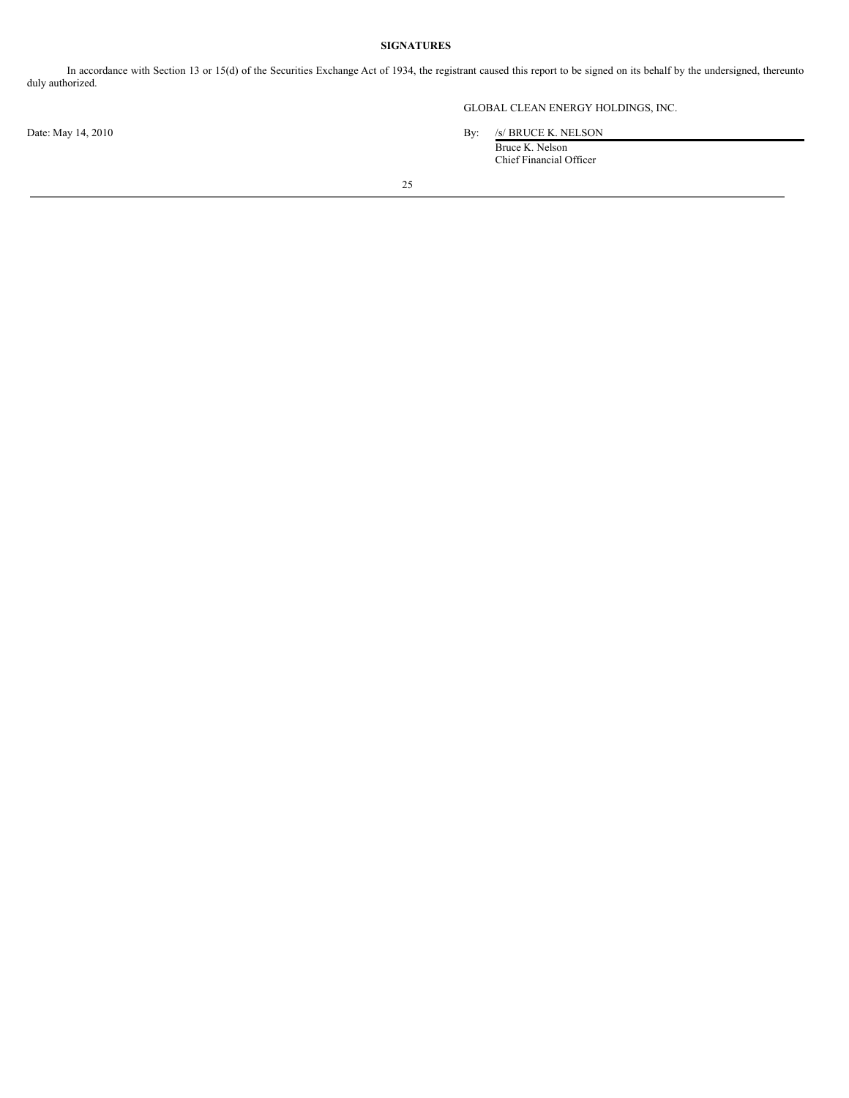# **SIGNATURES**

In accordance with Section 13 or 15(d) of the Securities Exchange Act of 1934, the registrant caused this report to be signed on its behalf by the undersigned, thereunto duly authorized.

GLOBAL CLEAN ENERGY HOLDINGS, INC.

Date: May 14, 2010 By: /s/ BRUCE K. NELSON

Bruce K. Nelson Chief Financial Officer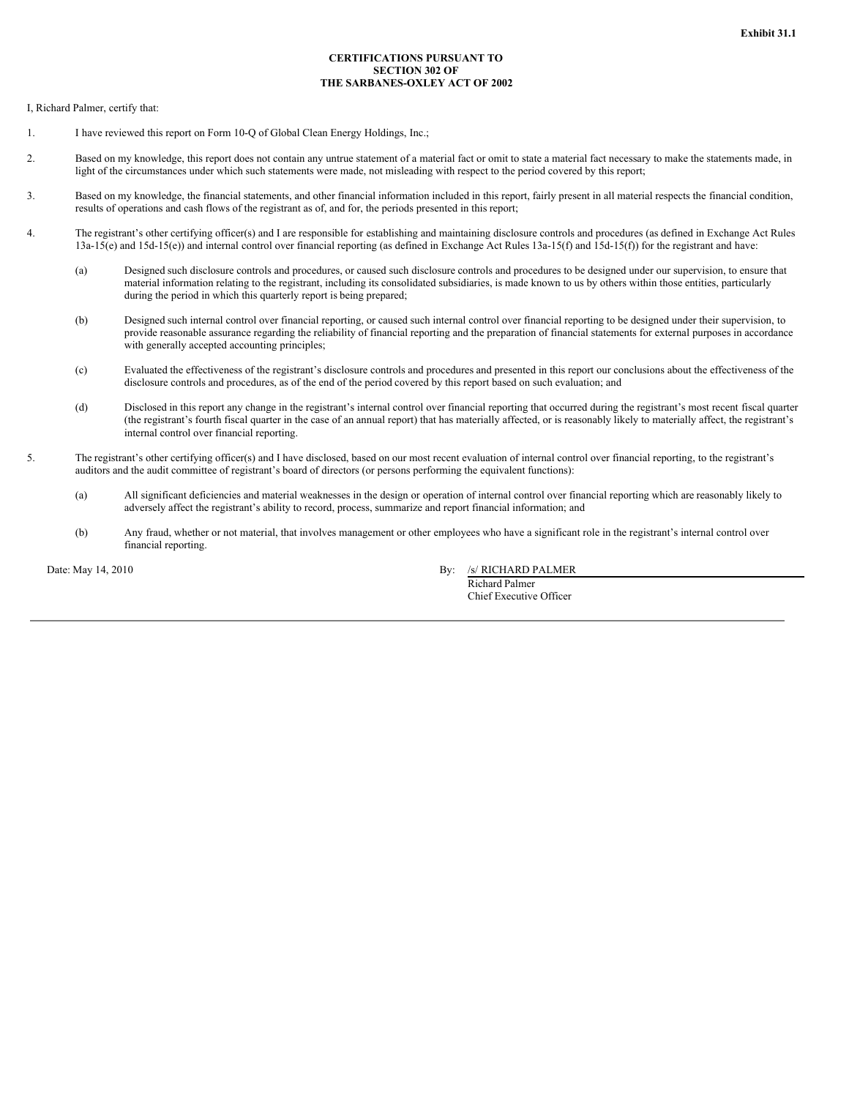### **CERTIFICATIONS PURSUANT TO SECTION 302 OF THE SARBANES-OXLEY ACT OF 2002**

I, Richard Palmer, certify that:

- 1. I have reviewed this report on Form 10-Q of Global Clean Energy Holdings, Inc.;
- 2. Based on my knowledge, this report does not contain any untrue statement of a material fact or omit to state a material fact necessary to make the statements made, in light of the circumstances under which such statements were made, not misleading with respect to the period covered by this report;
- 3. Based on my knowledge, the financial statements, and other financial information included in this report, fairly present in all material respects the financial condition, results of operations and cash flows of the registrant as of, and for, the periods presented in this report;
- 4. The registrant's other certifying officer(s) and I are responsible for establishing and maintaining disclosure controls and procedures (as defined in Exchange Act Rules 13a-15(e) and 15d-15(e)) and internal control over financial reporting (as defined in Exchange Act Rules 13a-15(f) and 15d-15(f)) for the registrant and have:
	- (a) Designed such disclosure controls and procedures, or caused such disclosure controls and procedures to be designed under our supervision, to ensure that material information relating to the registrant, including its consolidated subsidiaries, is made known to us by others within those entities, particularly during the period in which this quarterly report is being prepared;
	- (b) Designed such internal control over financial reporting, or caused such internal control over financial reporting to be designed under their supervision, to provide reasonable assurance regarding the reliability of financial reporting and the preparation of financial statements for external purposes in accordance with generally accepted accounting principles;
	- (c) Evaluated the effectiveness of the registrant's disclosure controls and procedures and presented in this report our conclusions about the effectiveness of the disclosure controls and procedures, as of the end of the period covered by this report based on such evaluation; and
	- (d) Disclosed in this report any change in the registrant's internal control over financial reporting that occurred during the registrant's most recent fiscal quarter (the registrant's fourth fiscal quarter in the case of an annual report) that has materially affected, or is reasonably likely to materially affect, the registrant's internal control over financial reporting.
- 5. The registrant's other certifying officer(s) and I have disclosed, based on our most recent evaluation of internal control over financial reporting, to the registrant's auditors and the audit committee of registrant's board of directors (or persons performing the equivalent functions):
	- (a) All significant deficiencies and material weaknesses in the design or operation of internal control over financial reporting which are reasonably likely to adversely affect the registrant's ability to record, process, summarize and report financial information; and
	- (b) Any fraud, whether or not material, that involves management or other employees who have a significant role in the registrant's internal control over financial reporting.

Date: May 14, 2010 By: /s/ RICHARD PALMER Richard Palmer

Chief Executive Officer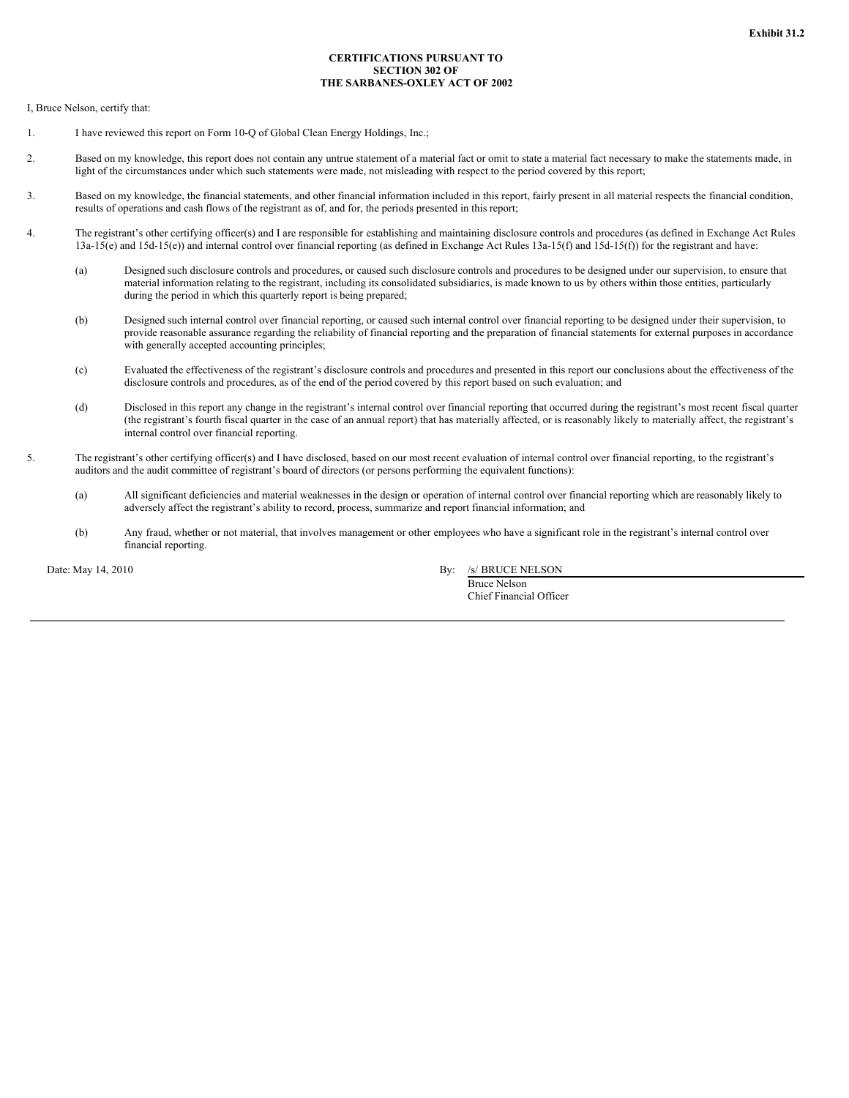### **CERTIFICATIONS PURSUANT TO SECTION 302 OF THE SARBANES-OXLEY ACT OF 2002**

I, Bruce Nelson, certify that:

- 1. I have reviewed this report on Form 10-Q of Global Clean Energy Holdings, Inc.;
- 2. Based on my knowledge, this report does not contain any untrue statement of a material fact or omit to state a material fact necessary to make the statements made, in light of the circumstances under which such statements were made, not misleading with respect to the period covered by this report;
- 3. Based on my knowledge, the financial statements, and other financial information included in this report, fairly present in all material respects the financial condition, results of operations and cash flows of the registrant as of, and for, the periods presented in this report;
- 4. The registrant's other certifying officer(s) and I are responsible for establishing and maintaining disclosure controls and procedures (as defined in Exchange Act Rules  $13a-15(e)$  and  $15d-15(e)$  and internal control over financial reporting (as defined in Exchange Act Rules  $13a-15(f)$  and  $15d-15(f)$ ) for the registrant and have:
	- (a) Designed such disclosure controls and procedures, or caused such disclosure controls and procedures to be designed under our supervision, to ensure that material information relating to the registrant, including its consolidated subsidiaries, is made known to us by others within those entities, particularly during the period in which this quarterly report is being prepared;
	- (b) Designed such internal control over financial reporting, or caused such internal control over financial reporting to be designed under their supervision, to provide reasonable assurance regarding the reliability of financial reporting and the preparation of financial statements for external purposes in accordance with generally accepted accounting principles;
	- (c) Evaluated the effectiveness of the registrant's disclosure controls and procedures and presented in this report our conclusions about the effectiveness of the disclosure controls and procedures, as of the end of the period covered by this report based on such evaluation; and
	- (d) Disclosed in this report any change in the registrant's internal control over financial reporting that occurred during the registrant's most recent fiscal quarter (the registrant's fourth fiscal quarter in the case of an annual report) that has materially affected, or is reasonably likely to materially affect, the registrant's internal control over financial reporting.
- 5. The registrant's other certifying officer(s) and I have disclosed, based on our most recent evaluation of internal control over financial reporting, to the registrant's auditors and the audit committee of registrant's board of directors (or persons performing the equivalent functions):
	- (a) All significant deficiencies and material weaknesses in the design or operation of internal control over financial reporting which are reasonably likely to adversely affect the registrant's ability to record, process, summarize and report financial information; and
	- (b) Any fraud, whether or not material, that involves management or other employees who have a significant role in the registrant's internal control over financial reporting.

Date: May 14, 2010 By: /s/ BRUCE NELSON Bruce Nelson

Chief Financial Officer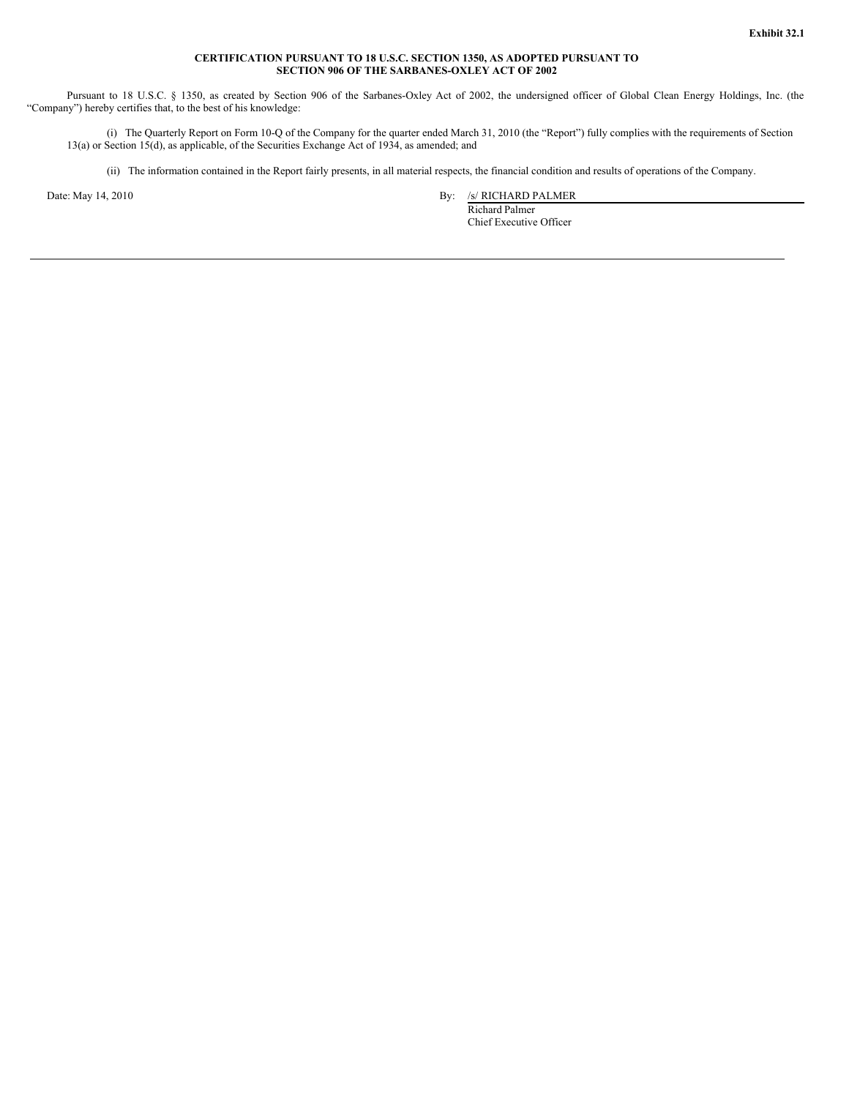### **CERTIFICATION PURSUANT TO 18 U.S.C. SECTION 1350, AS ADOPTED PURSUANT TO SECTION 906 OF THE SARBANES-OXLEY ACT OF 2002**

Pursuant to 18 U.S.C. § 1350, as created by Section 906 of the Sarbanes-Oxley Act of 2002, the undersigned officer of Global Clean Energy Holdings, Inc. (the "Company") hereby certifies that, to the best of his knowledge:

(i) The Quarterly Report on Form 10-Q of the Company for the quarter ended March 31, 2010 (the "Report") fully complies with the requirements of Section 13(a) or Section 15(d), as applicable, of the Securities Exchange Act of 1934, as amended; and

(ii) The information contained in the Report fairly presents, in all material respects, the financial condition and results of operations of the Company.

Date: May 14, 2010 By: /s/ RICHARD PALMER

Richard Palmer Chief Executive Officer